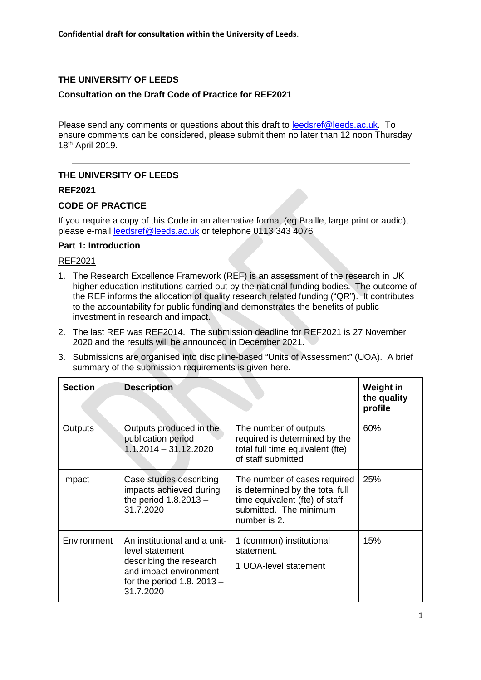# **THE UNIVERSITY OF LEEDS**

## **Consultation on the Draft Code of Practice for REF2021**

Please send any comments or questions about this draft to leedsref@leeds.ac.uk. To ensure comments can be considered, please submit them no later than 12 noon Thursday 18th April 2019.

# **THE UNIVERSITY OF LEEDS**

## **REF2021**

## **CODE OF PRACTICE**

If you require a copy of this Code in an alternative format (eg Braille, large print or audio), please e-mail leedsref@leeds.ac.uk or telephone 0113 343 4076.

#### **Part 1: Introduction**

#### REF2021

- 1. The Research Excellence Framework (REF) is an assessment of the research in UK higher education institutions carried out by the national funding bodies. The outcome of the REF informs the allocation of quality research related funding ("QR"). It contributes to the accountability for public funding and demonstrates the benefits of public investment in research and impact.
- 2. The last REF was REF2014. The submission deadline for REF2021 is 27 November 2020 and the results will be announced in December 2021.
- 3. Submissions are organised into discipline-based "Units of Assessment" (UOA). A brief summary of the submission requirements is given here.

| Section     | <b>Description</b>                                                                                                                                |                                                                                                                                             | Weight in<br>the quality<br>profile |
|-------------|---------------------------------------------------------------------------------------------------------------------------------------------------|---------------------------------------------------------------------------------------------------------------------------------------------|-------------------------------------|
| Outputs     | Outputs produced in the<br>publication period<br>$1.1.2014 - 31.12.2020$                                                                          | The number of outputs<br>required is determined by the<br>total full time equivalent (fte)<br>of staff submitted                            | 60%                                 |
| Impact      | Case studies describing<br>impacts achieved during<br>the period $1.8.2013 -$<br>31.7.2020                                                        | The number of cases required<br>is determined by the total full<br>time equivalent (fte) of staff<br>submitted. The minimum<br>number is 2. | 25%                                 |
| Environment | An institutional and a unit-<br>level statement<br>describing the research<br>and impact environment<br>for the period 1.8. $2013 -$<br>31.7.2020 | 1 (common) institutional<br>statement.<br>1 UOA-level statement                                                                             | 15%                                 |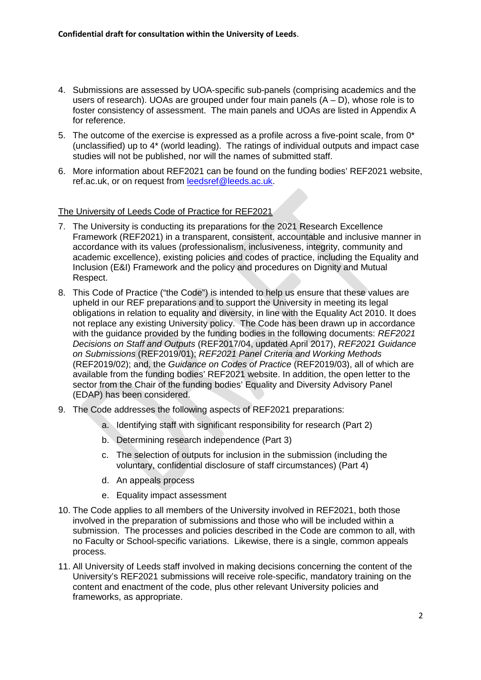- 4. Submissions are assessed by UOA-specific sub-panels (comprising academics and the users of research). UOAs are grouped under four main panels  $(A - D)$ , whose role is to foster consistency of assessment. The main panels and UOAs are listed in Appendix A for reference.
- 5. The outcome of the exercise is expressed as a profile across a five-point scale, from 0\* (unclassified) up to 4\* (world leading). The ratings of individual outputs and impact case studies will not be published, nor will the names of submitted staff.
- 6. More information about REF2021 can be found on the funding bodies' REF2021 website, ref.ac.uk, or on request from leedsref@leeds.ac.uk.

The University of Leeds Code of Practice for REF2021

- 7. The University is conducting its preparations for the 2021 Research Excellence Framework (REF2021) in a transparent, consistent, accountable and inclusive manner in accordance with its values (professionalism, inclusiveness, integrity, community and academic excellence), existing policies and codes of practice, including the Equality and Inclusion (E&I) Framework and the policy and procedures on Dignity and Mutual Respect.
- 8. This Code of Practice ("the Code") is intended to help us ensure that these values are upheld in our REF preparations and to support the University in meeting its legal obligations in relation to equality and diversity, in line with the Equality Act 2010. It does not replace any existing University policy. The Code has been drawn up in accordance with the guidance provided by the funding bodies in the following documents: *REF2021 Decisions on Staff and Outputs* (REF2017/04, updated April 2017), *REF2021 Guidance on Submissions* (REF2019/01); *REF2021 Panel Criteria and Working Methods* (REF2019/02); and, the *Guidance on Codes of Practice* (REF2019/03), all of which are available from the funding bodies' REF2021 website. In addition, the open letter to the sector from the Chair of the funding bodies' Equality and Diversity Advisory Panel (EDAP) has been considered.
- 9. The Code addresses the following aspects of REF2021 preparations:
	- a. Identifying staff with significant responsibility for research (Part 2)
	- b. Determining research independence (Part 3)
	- c. The selection of outputs for inclusion in the submission (including the voluntary, confidential disclosure of staff circumstances) (Part 4)
	- d. An appeals process
	- e. Equality impact assessment
- 10. The Code applies to all members of the University involved in REF2021, both those involved in the preparation of submissions and those who will be included within a submission. The processes and policies described in the Code are common to all, with no Faculty or School-specific variations. Likewise, there is a single, common appeals process.
- 11. All University of Leeds staff involved in making decisions concerning the content of the University's REF2021 submissions will receive role-specific, mandatory training on the content and enactment of the code, plus other relevant University policies and frameworks, as appropriate.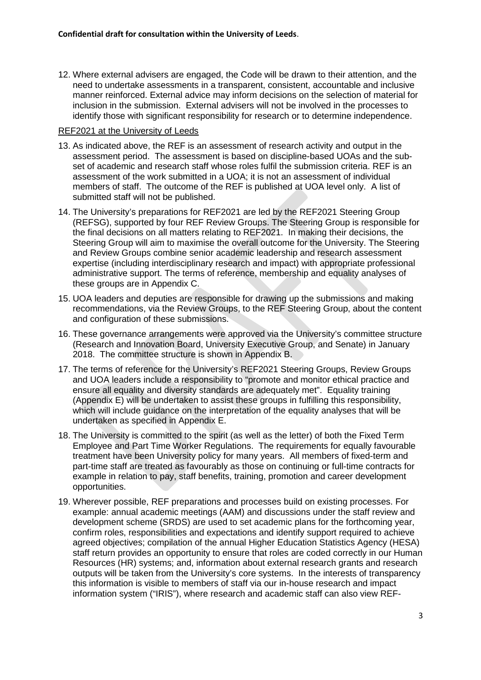12. Where external advisers are engaged, the Code will be drawn to their attention, and the need to undertake assessments in a transparent, consistent, accountable and inclusive manner reinforced. External advice may inform decisions on the selection of material for inclusion in the submission. External advisers will not be involved in the processes to identify those with significant responsibility for research or to determine independence.

#### REF2021 at the University of Leeds

- 13. As indicated above, the REF is an assessment of research activity and output in the assessment period. The assessment is based on discipline-based UOAs and the subset of academic and research staff whose roles fulfil the submission criteria. REF is an assessment of the work submitted in a UOA; it is not an assessment of individual members of staff. The outcome of the REF is published at UOA level only. A list of submitted staff will not be published.
- 14. The University's preparations for REF2021 are led by the REF2021 Steering Group (REFSG), supported by four REF Review Groups. The Steering Group is responsible for the final decisions on all matters relating to REF2021. In making their decisions, the Steering Group will aim to maximise the overall outcome for the University. The Steering and Review Groups combine senior academic leadership and research assessment expertise (including interdisciplinary research and impact) with appropriate professional administrative support. The terms of reference, membership and equality analyses of these groups are in Appendix C.
- 15. UOA leaders and deputies are responsible for drawing up the submissions and making recommendations, via the Review Groups, to the REF Steering Group, about the content and configuration of these submissions.
- 16. These governance arrangements were approved via the University's committee structure (Research and Innovation Board, University Executive Group, and Senate) in January 2018. The committee structure is shown in Appendix B.
- 17. The terms of reference for the University's REF2021 Steering Groups, Review Groups and UOA leaders include a responsibility to "promote and monitor ethical practice and ensure all equality and diversity standards are adequately met". Equality training (Appendix E) will be undertaken to assist these groups in fulfilling this responsibility, which will include guidance on the interpretation of the equality analyses that will be undertaken as specified in Appendix E.
- 18. The University is committed to the spirit (as well as the letter) of both the Fixed Term Employee and Part Time Worker Regulations. The requirements for equally favourable treatment have been University policy for many years. All members of fixed-term and part-time staff are treated as favourably as those on continuing or full-time contracts for example in relation to pay, staff benefits, training, promotion and career development opportunities.
- 19. Wherever possible, REF preparations and processes build on existing processes. For example: annual academic meetings (AAM) and discussions under the staff review and development scheme (SRDS) are used to set academic plans for the forthcoming year, confirm roles, responsibilities and expectations and identify support required to achieve agreed objectives; compilation of the annual Higher Education Statistics Agency (HESA) staff return provides an opportunity to ensure that roles are coded correctly in our Human Resources (HR) systems; and, information about external research grants and research outputs will be taken from the University's core systems. In the interests of transparency this information is visible to members of staff via our in-house research and impact information system ("IRIS"), where research and academic staff can also view REF-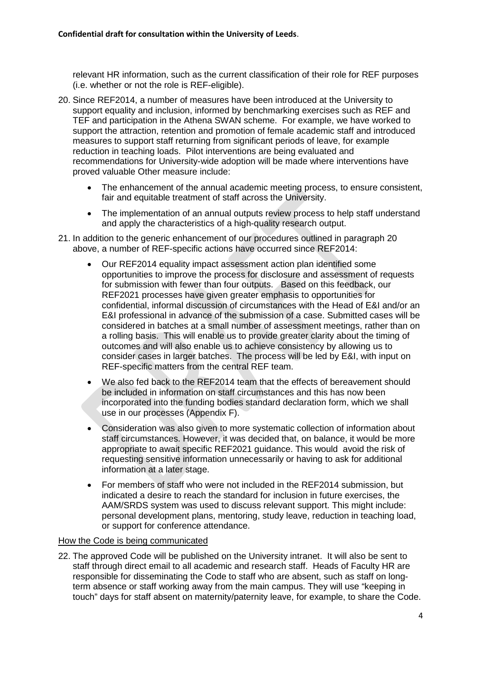relevant HR information, such as the current classification of their role for REF purposes (i.e. whether or not the role is REF-eligible).

- 20. Since REF2014, a number of measures have been introduced at the University to support equality and inclusion, informed by benchmarking exercises such as REF and TEF and participation in the Athena SWAN scheme. For example, we have worked to support the attraction, retention and promotion of female academic staff and introduced measures to support staff returning from significant periods of leave, for example reduction in teaching loads. Pilot interventions are being evaluated and recommendations for University-wide adoption will be made where interventions have proved valuable Other measure include:
	- The enhancement of the annual academic meeting process, to ensure consistent, fair and equitable treatment of staff across the University.
	- The implementation of an annual outputs review process to help staff understand and apply the characteristics of a high-quality research output.
- 21. In addition to the generic enhancement of our procedures outlined in paragraph 20 above, a number of REF-specific actions have occurred since REF2014:
	- Our REF2014 equality impact assessment action plan identified some opportunities to improve the process for disclosure and assessment of requests for submission with fewer than four outputs. Based on this feedback, our REF2021 processes have given greater emphasis to opportunities for confidential, informal discussion of circumstances with the Head of E&I and/or an E&I professional in advance of the submission of a case. Submitted cases will be considered in batches at a small number of assessment meetings, rather than on a rolling basis. This will enable us to provide greater clarity about the timing of outcomes and will also enable us to achieve consistency by allowing us to consider cases in larger batches. The process will be led by E&I, with input on REF-specific matters from the central REF team.
	- We also fed back to the REF2014 team that the effects of bereavement should be included in information on staff circumstances and this has now been incorporated into the funding bodies standard declaration form, which we shall use in our processes (Appendix F).
	- Consideration was also given to more systematic collection of information about staff circumstances. However, it was decided that, on balance, it would be more appropriate to await specific REF2021 guidance. This would avoid the risk of requesting sensitive information unnecessarily or having to ask for additional information at a later stage.
	- For members of staff who were not included in the REF2014 submission, but indicated a desire to reach the standard for inclusion in future exercises, the AAM/SRDS system was used to discuss relevant support. This might include: personal development plans, mentoring, study leave, reduction in teaching load, or support for conference attendance.

#### How the Code is being communicated

22. The approved Code will be published on the University intranet. It will also be sent to staff through direct email to all academic and research staff. Heads of Faculty HR are responsible for disseminating the Code to staff who are absent, such as staff on longterm absence or staff working away from the main campus. They will use "keeping in touch" days for staff absent on maternity/paternity leave, for example, to share the Code.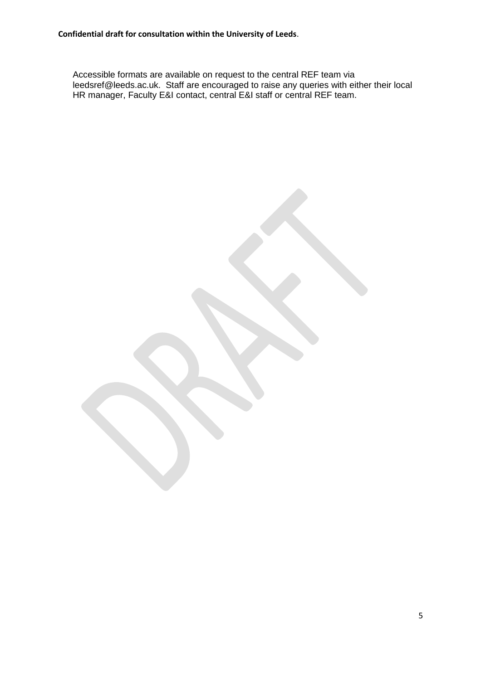Accessible formats are available on request to the central REF team via leedsref@leeds.ac.uk. Staff are encouraged to raise any queries with either their local HR manager, Faculty E&I contact, central E&I staff or central REF team.

5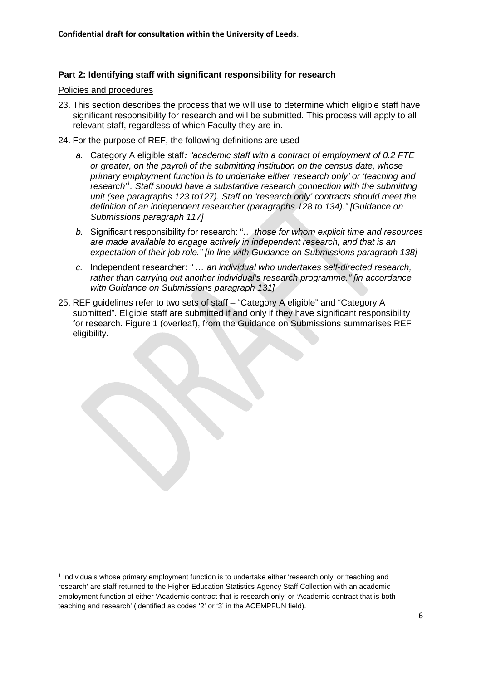#### **Part 2: Identifying staff with significant responsibility for research**

#### Policies and procedures

- 23. This section describes the process that we will use to determine which eligible staff have significant responsibility for research and will be submitted. This process will apply to all relevant staff, regardless of which Faculty they are in.
- 24. For the purpose of REF, the following definitions are used
	- *a.* Category A eligible staff*: "academic staff with a contract of employment of 0.2 FTE or greater, on the payroll of the submitting institution on the census date, whose primary employment function is to undertake either 'research only' or 'teaching and research'<sup>1</sup> . Staff should have a substantive research connection with the submitting unit (see paragraphs 123 to127). Staff on 'research only' contracts should meet the definition of an independent researcher (paragraphs 128 to 134)." [Guidance on Submissions paragraph 117]*
	- *b.* Significant responsibility for research: "*… those for whom explicit time and resources are made available to engage actively in independent research, and that is an expectation of their job role." [in line with Guidance on Submissions paragraph 138]*
	- *c.* Independent researcher: *" … an individual who undertakes self-directed research, rather than carrying out another individual's research programme." [in accordance with Guidance on Submissions paragraph 131]*
- 25. REF guidelines refer to two sets of staff "Category A eligible" and "Category A submitted". Eligible staff are submitted if and only if they have significant responsibility for research. Figure 1 (overleaf), from the Guidance on Submissions summarises REF eligibility.

<sup>1</sup> Individuals whose primary employment function is to undertake either 'research only' or 'teaching and research' are staff returned to the Higher Education Statistics Agency Staff Collection with an academic employment function of either 'Academic contract that is research only' or 'Academic contract that is both teaching and research' (identified as codes '2' or '3' in the ACEMPFUN field).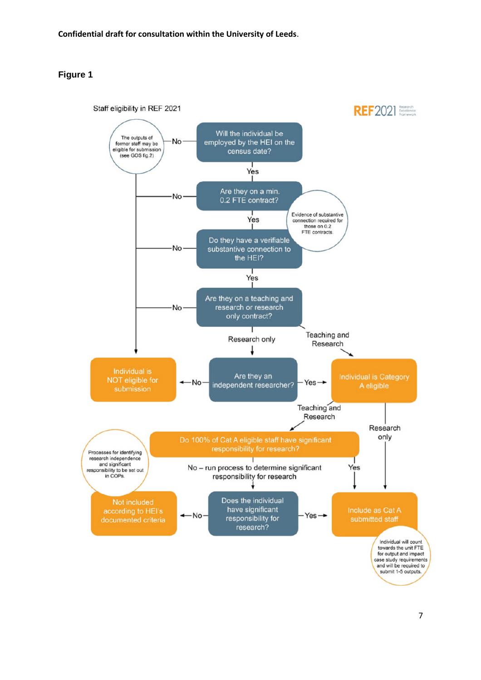## **Figure 1**

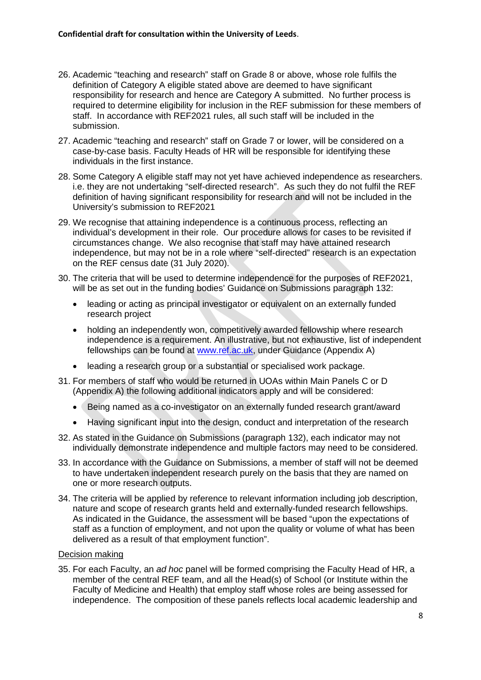- 26. Academic "teaching and research" staff on Grade 8 or above, whose role fulfils the definition of Category A eligible stated above are deemed to have significant responsibility for research and hence are Category A submitted. No further process is required to determine eligibility for inclusion in the REF submission for these members of staff. In accordance with REF2021 rules, all such staff will be included in the submission.
- 27. Academic "teaching and research" staff on Grade 7 or lower, will be considered on a case-by-case basis. Faculty Heads of HR will be responsible for identifying these individuals in the first instance.
- 28. Some Category A eligible staff may not yet have achieved independence as researchers. i.e. they are not undertaking "self-directed research". As such they do not fulfil the REF definition of having significant responsibility for research and will not be included in the University's submission to REF2021
- 29. We recognise that attaining independence is a continuous process, reflecting an individual's development in their role. Our procedure allows for cases to be revisited if circumstances change. We also recognise that staff may have attained research independence, but may not be in a role where "self-directed" research is an expectation on the REF census date (31 July 2020).
- 30. The criteria that will be used to determine independence for the purposes of REF2021, will be as set out in the funding bodies' Guidance on Submissions paragraph 132:
	- leading or acting as principal investigator or equivalent on an externally funded research project
	- holding an independently won, competitively awarded fellowship where research independence is a requirement. An illustrative, but not exhaustive, list of independent fellowships can be found at www.ref.ac.uk, under Guidance (Appendix A)
	- leading a research group or a substantial or specialised work package.
- 31. For members of staff who would be returned in UOAs within Main Panels C or D (Appendix A) the following additional indicators apply and will be considered:
	- Being named as a co-investigator on an externally funded research grant/award
	- Having significant input into the design, conduct and interpretation of the research
- 32. As stated in the Guidance on Submissions (paragraph 132), each indicator may not individually demonstrate independence and multiple factors may need to be considered.
- 33. In accordance with the Guidance on Submissions, a member of staff will not be deemed to have undertaken independent research purely on the basis that they are named on one or more research outputs.
- 34. The criteria will be applied by reference to relevant information including job description, nature and scope of research grants held and externally-funded research fellowships. As indicated in the Guidance, the assessment will be based "upon the expectations of staff as a function of employment, and not upon the quality or volume of what has been delivered as a result of that employment function".

#### Decision making

35. For each Faculty, an *ad hoc* panel will be formed comprising the Faculty Head of HR, a member of the central REF team, and all the Head(s) of School (or Institute within the Faculty of Medicine and Health) that employ staff whose roles are being assessed for independence. The composition of these panels reflects local academic leadership and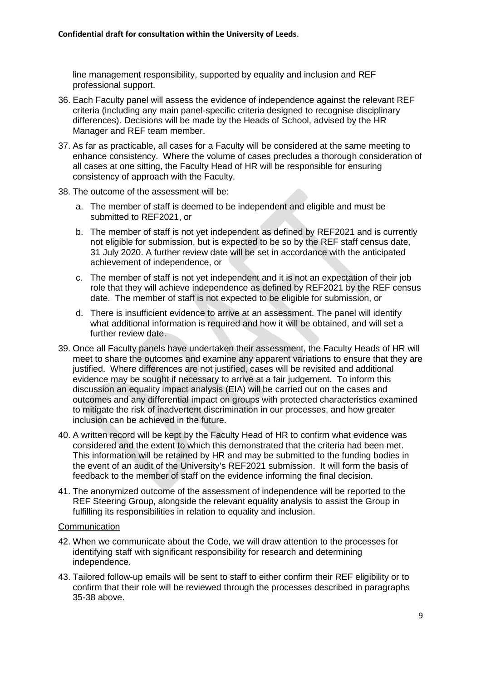line management responsibility, supported by equality and inclusion and REF professional support.

- 36. Each Faculty panel will assess the evidence of independence against the relevant REF criteria (including any main panel-specific criteria designed to recognise disciplinary differences). Decisions will be made by the Heads of School, advised by the HR Manager and REF team member.
- 37. As far as practicable, all cases for a Faculty will be considered at the same meeting to enhance consistency. Where the volume of cases precludes a thorough consideration of all cases at one sitting, the Faculty Head of HR will be responsible for ensuring consistency of approach with the Faculty.
- 38. The outcome of the assessment will be:
	- a. The member of staff is deemed to be independent and eligible and must be submitted to REF2021, or
	- b. The member of staff is not yet independent as defined by REF2021 and is currently not eligible for submission, but is expected to be so by the REF staff census date, 31 July 2020. A further review date will be set in accordance with the anticipated achievement of independence, or
	- c. The member of staff is not yet independent and it is not an expectation of their job role that they will achieve independence as defined by REF2021 by the REF census date. The member of staff is not expected to be eligible for submission, or
	- d. There is insufficient evidence to arrive at an assessment. The panel will identify what additional information is required and how it will be obtained, and will set a further review date.
- 39. Once all Faculty panels have undertaken their assessment, the Faculty Heads of HR will meet to share the outcomes and examine any apparent variations to ensure that they are justified. Where differences are not justified, cases will be revisited and additional evidence may be sought if necessary to arrive at a fair judgement. To inform this discussion an equality impact analysis (EIA) will be carried out on the cases and outcomes and any differential impact on groups with protected characteristics examined to mitigate the risk of inadvertent discrimination in our processes, and how greater inclusion can be achieved in the future.
- 40. A written record will be kept by the Faculty Head of HR to confirm what evidence was considered and the extent to which this demonstrated that the criteria had been met. This information will be retained by HR and may be submitted to the funding bodies in the event of an audit of the University's REF2021 submission. It will form the basis of feedback to the member of staff on the evidence informing the final decision.
- 41. The anonymized outcome of the assessment of independence will be reported to the REF Steering Group, alongside the relevant equality analysis to assist the Group in fulfilling its responsibilities in relation to equality and inclusion.

#### **Communication**

- 42. When we communicate about the Code, we will draw attention to the processes for identifying staff with significant responsibility for research and determining independence.
- 43. Tailored follow-up emails will be sent to staff to either confirm their REF eligibility or to confirm that their role will be reviewed through the processes described in paragraphs 35-38 above.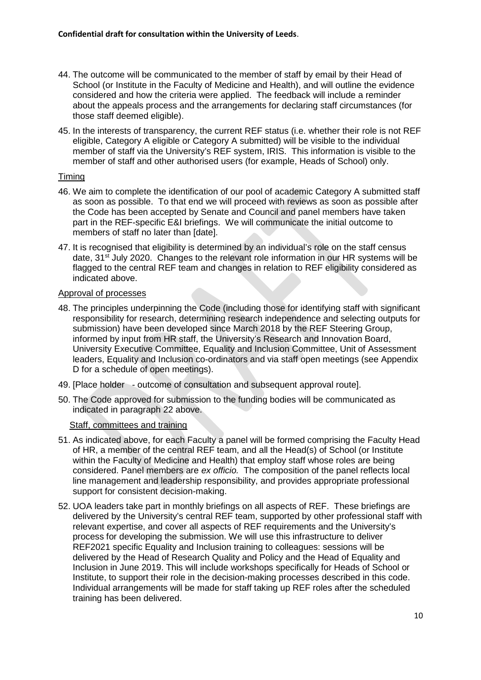- 44. The outcome will be communicated to the member of staff by email by their Head of School (or Institute in the Faculty of Medicine and Health), and will outline the evidence considered and how the criteria were applied. The feedback will include a reminder about the appeals process and the arrangements for declaring staff circumstances (for those staff deemed eligible).
- 45. In the interests of transparency, the current REF status (i.e. whether their role is not REF eligible, Category A eligible or Category A submitted) will be visible to the individual member of staff via the University's REF system, IRIS. This information is visible to the member of staff and other authorised users (for example, Heads of School) only.

#### Timing

- 46. We aim to complete the identification of our pool of academic Category A submitted staff as soon as possible. To that end we will proceed with reviews as soon as possible after the Code has been accepted by Senate and Council and panel members have taken part in the REF-specific E&I briefings. We will communicate the initial outcome to members of staff no later than [date].
- 47. It is recognised that eligibility is determined by an individual's role on the staff census date, 31<sup>st</sup> July 2020. Changes to the relevant role information in our HR systems will be flagged to the central REF team and changes in relation to REF eligibility considered as indicated above.

#### Approval of processes

- 48. The principles underpinning the Code (including those for identifying staff with significant responsibility for research, determining research independence and selecting outputs for submission) have been developed since March 2018 by the REF Steering Group, informed by input from HR staff, the University's Research and Innovation Board, University Executive Committee, Equality and Inclusion Committee, Unit of Assessment leaders, Equality and Inclusion co-ordinators and via staff open meetings (see Appendix D for a schedule of open meetings).
- 49. [Place holder outcome of consultation and subsequent approval route].
- 50. The Code approved for submission to the funding bodies will be communicated as indicated in paragraph 22 above.

#### Staff, committees and training

- 51. As indicated above, for each Faculty a panel will be formed comprising the Faculty Head of HR, a member of the central REF team, and all the Head(s) of School (or Institute within the Faculty of Medicine and Health) that employ staff whose roles are being considered. Panel members are *ex officio.* The composition of the panel reflects local line management and leadership responsibility, and provides appropriate professional support for consistent decision-making.
- 52. UOA leaders take part in monthly briefings on all aspects of REF. These briefings are delivered by the University's central REF team, supported by other professional staff with relevant expertise, and cover all aspects of REF requirements and the University's process for developing the submission. We will use this infrastructure to deliver REF2021 specific Equality and Inclusion training to colleagues: sessions will be delivered by the Head of Research Quality and Policy and the Head of Equality and Inclusion in June 2019. This will include workshops specifically for Heads of School or Institute, to support their role in the decision-making processes described in this code. Individual arrangements will be made for staff taking up REF roles after the scheduled training has been delivered.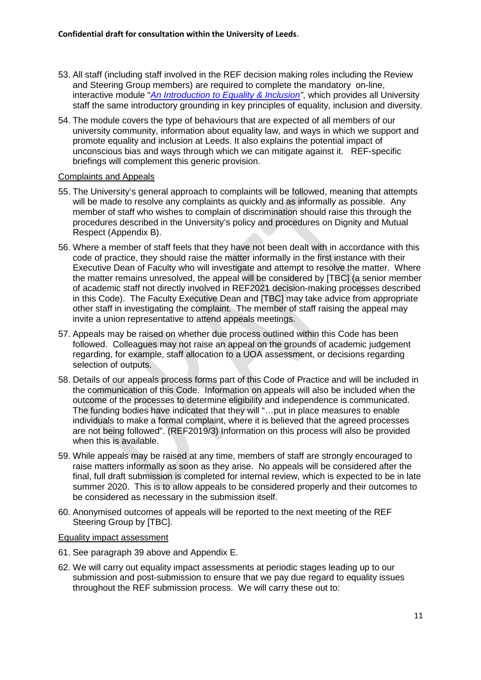- 53. All staff (including staff involved in the REF decision making roles including the Review and Steering Group members) are required to complete the mandatory on-line, interactive module "*An Introduction to Equality & Inclusion"*, which provides all University staff the same introductory grounding in key principles of equality, inclusion and diversity.
- 54. The module covers the type of behaviours that are expected of all members of our university community, information about equality law, and ways in which we support and promote equality and inclusion at Leeds. It also explains the potential impact of unconscious bias and ways through which we can mitigate against it. REF-specific briefings will complement this generic provision.

#### Complaints and Appeals

- 55. The University's general approach to complaints will be followed, meaning that attempts will be made to resolve any complaints as quickly and as informally as possible. Any member of staff who wishes to complain of discrimination should raise this through the procedures described in the University's policy and procedures on Dignity and Mutual Respect (Appendix B).
- 56. Where a member of staff feels that they have not been dealt with in accordance with this code of practice, they should raise the matter informally in the first instance with their Executive Dean of Faculty who will investigate and attempt to resolve the matter. Where the matter remains unresolved, the appeal will be considered by [TBC] (a senior member of academic staff not directly involved in REF2021 decision-making processes described in this Code). The Faculty Executive Dean and [TBC] may take advice from appropriate other staff in investigating the complaint. The member of staff raising the appeal may invite a union representative to attend appeals meetings.
- 57. Appeals may be raised on whether due process outlined within this Code has been followed. Colleagues may not raise an appeal on the grounds of academic judgement regarding, for example, staff allocation to a UOA assessment, or decisions regarding selection of outputs.
- 58. Details of our appeals process forms part of this Code of Practice and will be included in the communication of this Code. Information on appeals will also be included when the outcome of the processes to determine eligibility and independence is communicated. The funding bodies have indicated that they will "…put in place measures to enable individuals to make a formal complaint, where it is believed that the agreed processes are not being followed". (REF2019/3) Information on this process will also be provided when this is available.
- 59. While appeals may be raised at any time, members of staff are strongly encouraged to raise matters informally as soon as they arise. No appeals will be considered after the final, full draft submission is completed for internal review, which is expected to be in late summer 2020. This is to allow appeals to be considered properly and their outcomes to be considered as necessary in the submission itself.
- 60. Anonymised outcomes of appeals will be reported to the next meeting of the REF Steering Group by [TBC].

#### Equality impact assessment

- 61. See paragraph 39 above and Appendix E.
- 62. We will carry out equality impact assessments at periodic stages leading up to our submission and post-submission to ensure that we pay due regard to equality issues throughout the REF submission process. We will carry these out to: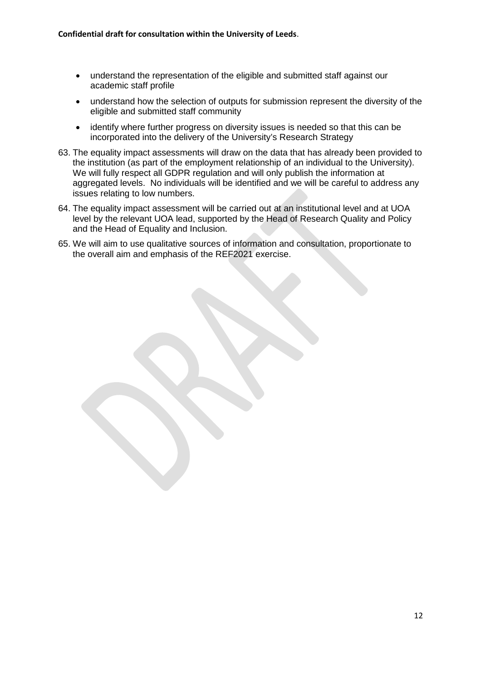- understand the representation of the eligible and submitted staff against our academic staff profile
- understand how the selection of outputs for submission represent the diversity of the eligible and submitted staff community
- identify where further progress on diversity issues is needed so that this can be incorporated into the delivery of the University's Research Strategy
- 63. The equality impact assessments will draw on the data that has already been provided to the institution (as part of the employment relationship of an individual to the University). We will fully respect all GDPR regulation and will only publish the information at aggregated levels. No individuals will be identified and we will be careful to address any issues relating to low numbers.
- 64. The equality impact assessment will be carried out at an institutional level and at UOA level by the relevant UOA lead, supported by the Head of Research Quality and Policy and the Head of Equality and Inclusion.
- 65. We will aim to use qualitative sources of information and consultation, proportionate to the overall aim and emphasis of the REF2021 exercise.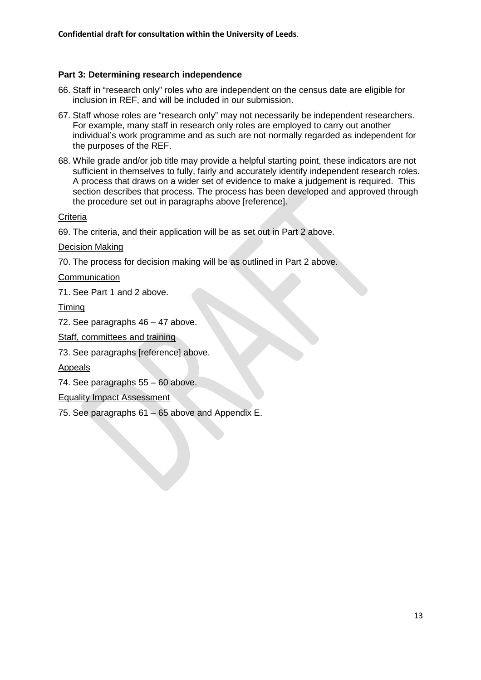## **Part 3: Determining research independence**

- 66. Staff in "research only" roles who are independent on the census date are eligible for inclusion in REF, and will be included in our submission.
- 67. Staff whose roles are "research only" may not necessarily be independent researchers. For example, many staff in research only roles are employed to carry out another individual's work programme and as such are not normally regarded as independent for the purposes of the REF.
- 68. While grade and/or job title may provide a helpful starting point, these indicators are not sufficient in themselves to fully, fairly and accurately identify independent research roles. A process that draws on a wider set of evidence to make a judgement is required. This section describes that process. The process has been developed and approved through the procedure set out in paragraphs above [reference].

#### **Criteria**

69. The criteria, and their application will be as set out in Part 2 above.

## Decision Making

70. The process for decision making will be as outlined in Part 2 above.

## **Communication**

71. See Part 1 and 2 above.

Timing

72. See paragraphs 46 – 47 above.

Staff, committees and training

73. See paragraphs [reference] above.

## Appeals

74. See paragraphs 55 – 60 above.

Equality Impact Assessment

75. See paragraphs 61 – 65 above and Appendix E.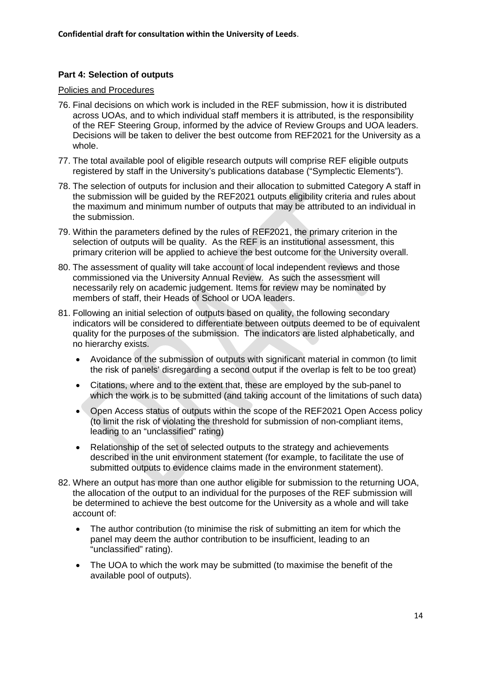## **Part 4: Selection of outputs**

#### Policies and Procedures

- 76. Final decisions on which work is included in the REF submission, how it is distributed across UOAs, and to which individual staff members it is attributed, is the responsibility of the REF Steering Group, informed by the advice of Review Groups and UOA leaders. Decisions will be taken to deliver the best outcome from REF2021 for the University as a whole.
- 77. The total available pool of eligible research outputs will comprise REF eligible outputs registered by staff in the University's publications database ("Symplectic Elements").
- 78. The selection of outputs for inclusion and their allocation to submitted Category A staff in the submission will be guided by the REF2021 outputs eligibility criteria and rules about the maximum and minimum number of outputs that may be attributed to an individual in the submission.
- 79. Within the parameters defined by the rules of REF2021, the primary criterion in the selection of outputs will be quality. As the REF is an institutional assessment, this primary criterion will be applied to achieve the best outcome for the University overall.
- 80. The assessment of quality will take account of local independent reviews and those commissioned via the University Annual Review. As such the assessment will necessarily rely on academic judgement. Items for review may be nominated by members of staff, their Heads of School or UOA leaders.
- 81. Following an initial selection of outputs based on quality, the following secondary indicators will be considered to differentiate between outputs deemed to be of equivalent quality for the purposes of the submission. The indicators are listed alphabetically, and no hierarchy exists.
	- Avoidance of the submission of outputs with significant material in common (to limit the risk of panels' disregarding a second output if the overlap is felt to be too great)
	- Citations, where and to the extent that, these are employed by the sub-panel to which the work is to be submitted (and taking account of the limitations of such data)
	- Open Access status of outputs within the scope of the REF2021 Open Access policy (to limit the risk of violating the threshold for submission of non-compliant items, leading to an "unclassified" rating)
	- Relationship of the set of selected outputs to the strategy and achievements described in the unit environment statement (for example, to facilitate the use of submitted outputs to evidence claims made in the environment statement).
- 82. Where an output has more than one author eligible for submission to the returning UOA, the allocation of the output to an individual for the purposes of the REF submission will be determined to achieve the best outcome for the University as a whole and will take account of:
	- The author contribution (to minimise the risk of submitting an item for which the panel may deem the author contribution to be insufficient, leading to an "unclassified" rating).
	- The UOA to which the work may be submitted (to maximise the benefit of the available pool of outputs).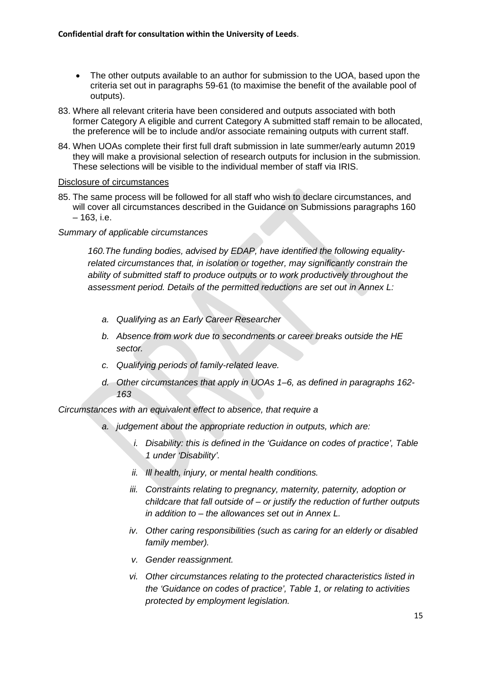- The other outputs available to an author for submission to the UOA, based upon the criteria set out in paragraphs 59-61 (to maximise the benefit of the available pool of outputs).
- 83. Where all relevant criteria have been considered and outputs associated with both former Category A eligible and current Category A submitted staff remain to be allocated, the preference will be to include and/or associate remaining outputs with current staff.
- 84. When UOAs complete their first full draft submission in late summer/early autumn 2019 they will make a provisional selection of research outputs for inclusion in the submission. These selections will be visible to the individual member of staff via IRIS.

#### Disclosure of circumstances

85. The same process will be followed for all staff who wish to declare circumstances, and will cover all circumstances described in the Guidance on Submissions paragraphs 160 – 163, i.e.

*Summary of applicable circumstances*

*160.The funding bodies, advised by EDAP, have identified the following equalityrelated circumstances that, in isolation or together, may significantly constrain the ability of submitted staff to produce outputs or to work productively throughout the assessment period. Details of the permitted reductions are set out in Annex L:*

- *a. Qualifying as an Early Career Researcher*
- *b. Absence from work due to secondments or career breaks outside the HE sector.*
- *c. Qualifying periods of family-related leave.*
- *d. Other circumstances that apply in UOAs 1–6, as defined in paragraphs 162- 163*

*Circumstances with an equivalent effect to absence, that require a*

- *a. judgement about the appropriate reduction in outputs, which are:*
	- *i. Disability: this is defined in the 'Guidance on codes of practice', Table 1 under 'Disability'.*
	- *ii. Ill health, injury, or mental health conditions.*
	- *iii. Constraints relating to pregnancy, maternity, paternity, adoption or childcare that fall outside of – or justify the reduction of further outputs in addition to – the allowances set out in Annex L.*
	- *iv. Other caring responsibilities (such as caring for an elderly or disabled family member).*
	- *v. Gender reassignment.*
	- *vi. Other circumstances relating to the protected characteristics listed in the 'Guidance on codes of practice', Table 1, or relating to activities protected by employment legislation.*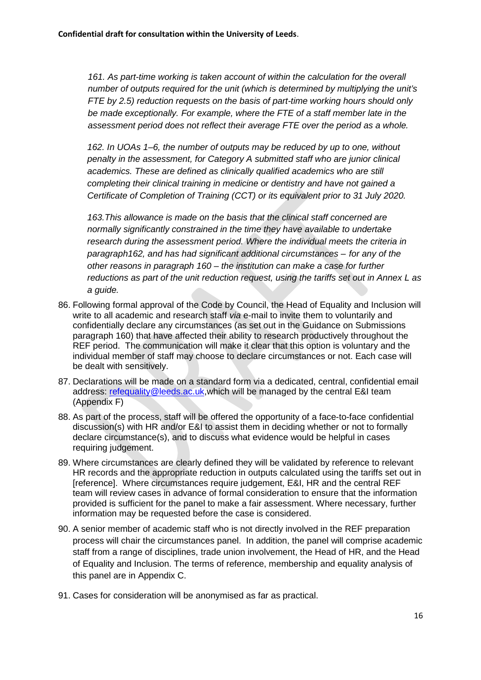*161. As part-time working is taken account of within the calculation for the overall number of outputs required for the unit (which is determined by multiplying the unit's FTE by 2.5) reduction requests on the basis of part-time working hours should only be made exceptionally. For example, where the FTE of a staff member late in the assessment period does not reflect their average FTE over the period as a whole.*

*162. In UOAs 1–6, the number of outputs may be reduced by up to one, without penalty in the assessment, for Category A submitted staff who are junior clinical academics. These are defined as clinically qualified academics who are still completing their clinical training in medicine or dentistry and have not gained a Certificate of Completion of Training (CCT) or its equivalent prior to 31 July 2020.*

*163.This allowance is made on the basis that the clinical staff concerned are normally significantly constrained in the time they have available to undertake research during the assessment period. Where the individual meets the criteria in paragraph162, and has had significant additional circumstances – for any of the other reasons in paragraph 160 – the institution can make a case for further reductions as part of the unit reduction request, using the tariffs set out in Annex L as a guide.*

- 86. Following formal approval of the Code by Council, the Head of Equality and Inclusion will write to all academic and research staff *via* e-mail to invite them to voluntarily and confidentially declare any circumstances (as set out in the Guidance on Submissions paragraph 160) that have affected their ability to research productively throughout the REF period. The communication will make it clear that this option is voluntary and the individual member of staff may choose to declare circumstances or not. Each case will be dealt with sensitively.
- 87. Declarations will be made on a standard form via a dedicated, central, confidential email address: refequality@leeds.ac.uk,which will be managed by the central E&I team (Appendix F)
- 88. As part of the process, staff will be offered the opportunity of a face-to-face confidential discussion(s) with HR and/or E&I to assist them in deciding whether or not to formally declare circumstance(s), and to discuss what evidence would be helpful in cases requiring judgement.
- 89. Where circumstances are clearly defined they will be validated by reference to relevant HR records and the appropriate reduction in outputs calculated using the tariffs set out in [reference]. Where circumstances require judgement, E&I, HR and the central REF team will review cases in advance of formal consideration to ensure that the information provided is sufficient for the panel to make a fair assessment. Where necessary, further information may be requested before the case is considered.
- 90. A senior member of academic staff who is not directly involved in the REF preparation process will chair the circumstances panel. In addition, the panel will comprise academic staff from a range of disciplines, trade union involvement, the Head of HR, and the Head of Equality and Inclusion. The terms of reference, membership and equality analysis of this panel are in Appendix C.
- 91. Cases for consideration will be anonymised as far as practical.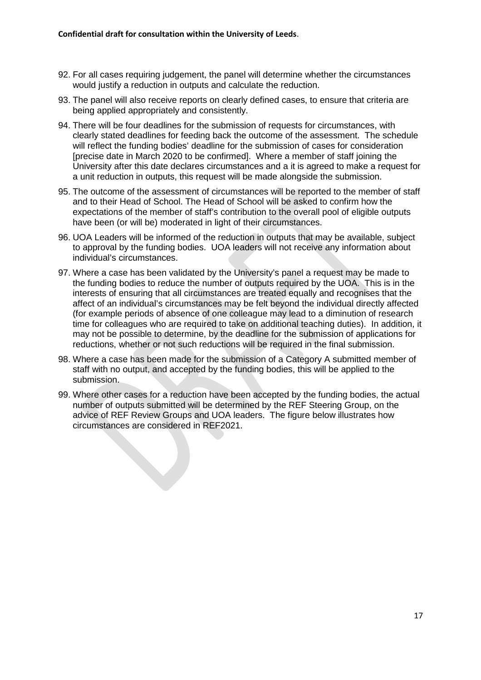- 92. For all cases requiring judgement, the panel will determine whether the circumstances would justify a reduction in outputs and calculate the reduction.
- 93. The panel will also receive reports on clearly defined cases, to ensure that criteria are being applied appropriately and consistently.
- 94. There will be four deadlines for the submission of requests for circumstances, with clearly stated deadlines for feeding back the outcome of the assessment. The schedule will reflect the funding bodies' deadline for the submission of cases for consideration [precise date in March 2020 to be confirmed]. Where a member of staff joining the University after this date declares circumstances and a it is agreed to make a request for a unit reduction in outputs, this request will be made alongside the submission.
- 95. The outcome of the assessment of circumstances will be reported to the member of staff and to their Head of School. The Head of School will be asked to confirm how the expectations of the member of staff's contribution to the overall pool of eligible outputs have been (or will be) moderated in light of their circumstances.
- 96. UOA Leaders will be informed of the reduction in outputs that may be available, subject to approval by the funding bodies. UOA leaders will not receive any information about individual's circumstances.
- 97. Where a case has been validated by the University's panel a request may be made to the funding bodies to reduce the number of outputs required by the UOA. This is in the interests of ensuring that all circumstances are treated equally and recognises that the affect of an individual's circumstances may be felt beyond the individual directly affected (for example periods of absence of one colleague may lead to a diminution of research time for colleagues who are required to take on additional teaching duties). In addition, it may not be possible to determine, by the deadline for the submission of applications for reductions, whether or not such reductions will be required in the final submission.
- 98. Where a case has been made for the submission of a Category A submitted member of staff with no output, and accepted by the funding bodies, this will be applied to the submission.
- 99. Where other cases for a reduction have been accepted by the funding bodies, the actual number of outputs submitted will be determined by the REF Steering Group, on the advice of REF Review Groups and UOA leaders. The figure below illustrates how circumstances are considered in REF2021.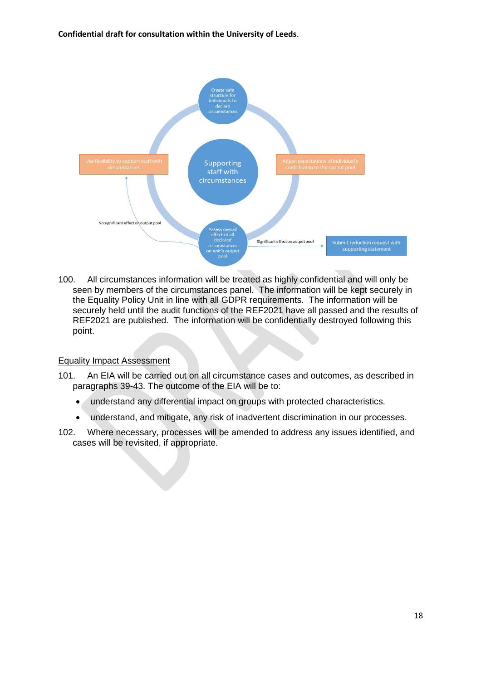**Confidential draft for consultation within the University of Leeds**.



100. All circumstances information will be treated as highly confidential and will only be seen by members of the circumstances panel. The information will be kept securely in the Equality Policy Unit in line with all GDPR requirements. The information will be securely held until the audit functions of the REF2021 have all passed and the results of REF2021 are published. The information will be confidentially destroyed following this point.

## Equality Impact Assessment

- 101. An EIA will be carried out on all circumstance cases and outcomes, as described in paragraphs 39-43. The outcome of the EIA will be to:
	- understand any differential impact on groups with protected characteristics.
	- understand, and mitigate, any risk of inadvertent discrimination in our processes.
- 102. Where necessary, processes will be amended to address any issues identified, and cases will be revisited, if appropriate.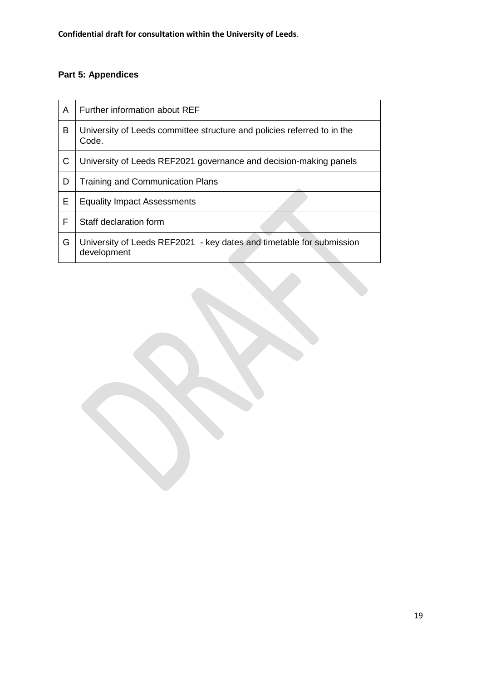# **Part 5: Appendices**

| A | Further information about REF                                                       |
|---|-------------------------------------------------------------------------------------|
| В | University of Leeds committee structure and policies referred to in the<br>Code.    |
| C | University of Leeds REF2021 governance and decision-making panels                   |
| D | <b>Training and Communication Plans</b>                                             |
| E | <b>Equality Impact Assessments</b>                                                  |
| F | Staff declaration form                                                              |
| G | University of Leeds REF2021 - key dates and timetable for submission<br>development |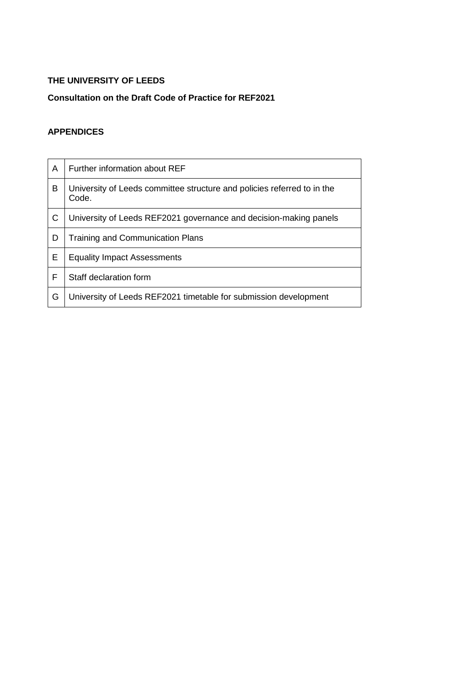# **THE UNIVERSITY OF LEEDS**

# **Consultation on the Draft Code of Practice for REF2021**

# **APPENDICES**

| A | Further information about REF                                                    |
|---|----------------------------------------------------------------------------------|
| в | University of Leeds committee structure and policies referred to in the<br>Code. |
| C | University of Leeds REF2021 governance and decision-making panels                |
| D | Training and Communication Plans                                                 |
| E | <b>Equality Impact Assessments</b>                                               |
| F | Staff declaration form                                                           |
| G | University of Leeds REF2021 timetable for submission development                 |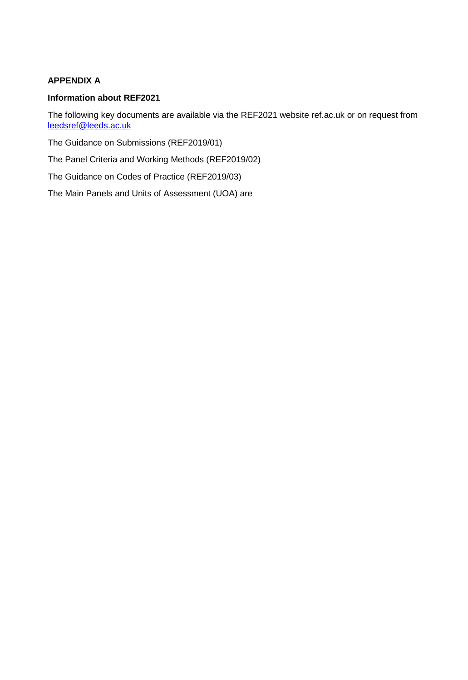# **APPENDIX A**

## **Information about REF2021**

The following key documents are available via the REF2021 website ref.ac.uk or on request from leedsref@leeds.ac.uk

The Guidance on Submissions (REF2019/01)

The Panel Criteria and Working Methods (REF2019/02)

The Guidance on Codes of Practice (REF2019/03)

The Main Panels and Units of Assessment (UOA) are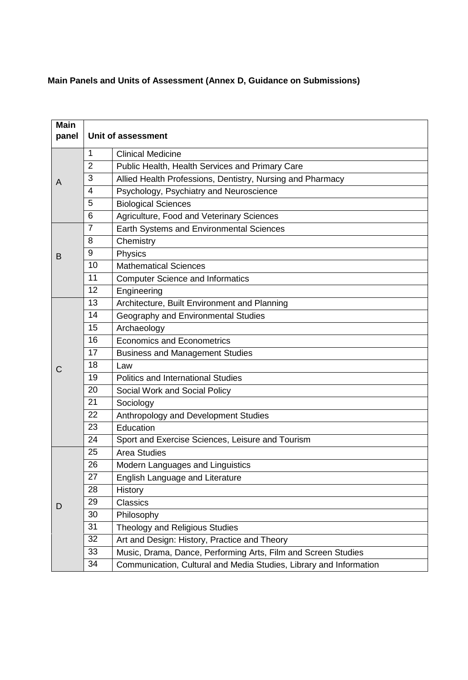# **Main Panels and Units of Assessment (Annex D, Guidance on Submissions)**

| <b>Main</b><br>panel | Unit of assessment |                                                                    |  |
|----------------------|--------------------|--------------------------------------------------------------------|--|
|                      | 1                  | <b>Clinical Medicine</b>                                           |  |
|                      | $\overline{2}$     | Public Health, Health Services and Primary Care                    |  |
| A                    | 3                  | Allied Health Professions, Dentistry, Nursing and Pharmacy         |  |
|                      | 4                  | Psychology, Psychiatry and Neuroscience                            |  |
|                      | 5                  | <b>Biological Sciences</b>                                         |  |
|                      | 6                  | Agriculture, Food and Veterinary Sciences                          |  |
|                      | $\overline{7}$     | Earth Systems and Environmental Sciences                           |  |
|                      | 8                  | Chemistry                                                          |  |
| B                    | 9                  | Physics                                                            |  |
|                      | 10                 | <b>Mathematical Sciences</b>                                       |  |
|                      | 11                 | <b>Computer Science and Informatics</b>                            |  |
|                      | 12                 | Engineering                                                        |  |
|                      | 13                 | Architecture, Built Environment and Planning                       |  |
|                      | 14                 | Geography and Environmental Studies                                |  |
|                      | 15                 | Archaeology                                                        |  |
|                      | 16                 | <b>Economics and Econometrics</b>                                  |  |
|                      | 17                 | <b>Business and Management Studies</b>                             |  |
| С                    | 18                 | Law                                                                |  |
|                      | 19                 | <b>Politics and International Studies</b>                          |  |
|                      | 20                 | Social Work and Social Policy                                      |  |
|                      | 21                 | Sociology                                                          |  |
|                      | 22                 | Anthropology and Development Studies                               |  |
|                      | 23                 | Education                                                          |  |
|                      | 24                 | Sport and Exercise Sciences, Leisure and Tourism                   |  |
|                      | 25                 | <b>Area Studies</b>                                                |  |
|                      | 26                 | Modern Languages and Linguistics                                   |  |
|                      | 27                 | English Language and Literature                                    |  |
|                      | 28                 | <b>History</b>                                                     |  |
| D                    | 29                 | <b>Classics</b>                                                    |  |
|                      | 30                 | Philosophy                                                         |  |
|                      | 31                 | <b>Theology and Religious Studies</b>                              |  |
|                      | 32                 | Art and Design: History, Practice and Theory                       |  |
|                      | 33                 | Music, Drama, Dance, Performing Arts, Film and Screen Studies      |  |
|                      | 34                 | Communication, Cultural and Media Studies, Library and Information |  |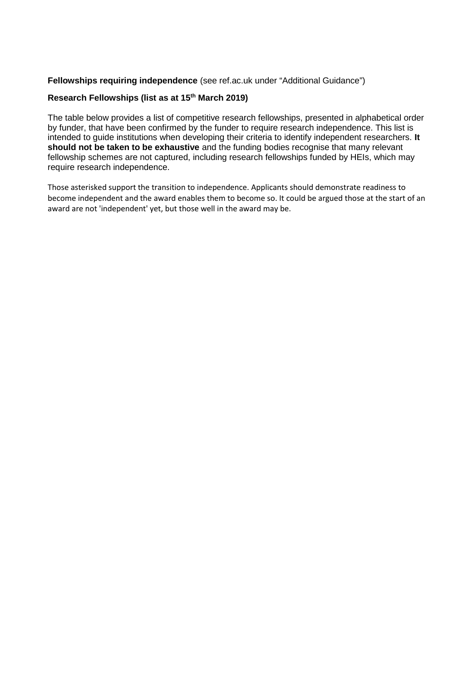## **Fellowships requiring independence** (see ref.ac.uk under "Additional Guidance")

## **Research Fellowships (list as at 15th March 2019)**

The table below provides a list of competitive research fellowships, presented in alphabetical order by funder, that have been confirmed by the funder to require research independence. This list is intended to guide institutions when developing their criteria to identify independent researchers. **It should not be taken to be exhaustive** and the funding bodies recognise that many relevant fellowship schemes are not captured, including research fellowships funded by HEIs, which may require research independence.

Those asterisked support the transition to independence. Applicants should demonstrate readiness to become independent and the award enables them to become so. It could be argued those at the start of an award are not 'independent' yet, but those well in the award may be.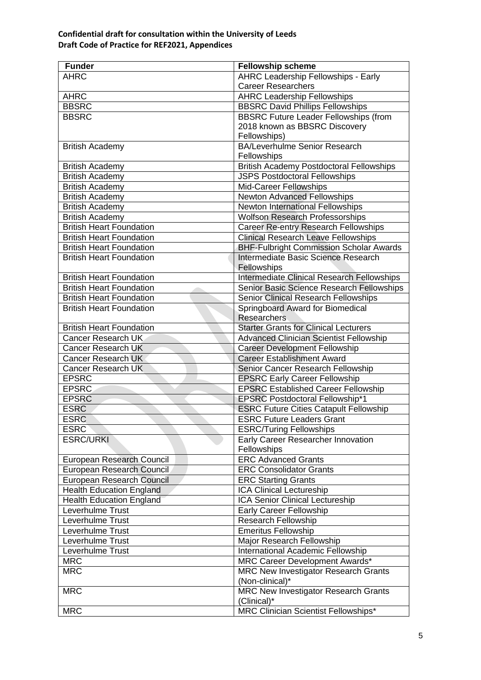| <b>Funder</b>                   | <b>Fellowship scheme</b>                        |
|---------------------------------|-------------------------------------------------|
| <b>AHRC</b>                     | <b>AHRC Leadership Fellowships - Early</b>      |
|                                 | <b>Career Researchers</b>                       |
| <b>AHRC</b>                     | <b>AHRC Leadership Fellowships</b>              |
| <b>BBSRC</b>                    | <b>BBSRC David Phillips Fellowships</b>         |
| <b>BBSRC</b>                    | <b>BBSRC Future Leader Fellowships (from</b>    |
|                                 | 2018 known as BBSRC Discovery                   |
|                                 | Fellowships)                                    |
| <b>British Academy</b>          | <b>BA/Leverhulme Senior Research</b>            |
|                                 | Fellowships                                     |
| <b>British Academy</b>          | <b>British Academy Postdoctoral Fellowships</b> |
| <b>British Academy</b>          | <b>JSPS Postdoctoral Fellowships</b>            |
| <b>British Academy</b>          | Mid-Career Fellowships                          |
| <b>British Academy</b>          | <b>Newton Advanced Fellowships</b>              |
| <b>British Academy</b>          | <b>Newton International Fellowships</b>         |
| <b>British Academy</b>          | <b>Wolfson Research Professorships</b>          |
| <b>British Heart Foundation</b> | <b>Career Re-entry Research Fellowships</b>     |
| <b>British Heart Foundation</b> | <b>Clinical Research Leave Fellowships</b>      |
| <b>British Heart Foundation</b> | <b>BHF-Fulbright Commission Scholar Awards</b>  |
| <b>British Heart Foundation</b> | Intermediate Basic Science Research             |
|                                 | Fellowships                                     |
| <b>British Heart Foundation</b> | Intermediate Clinical Research Fellowships      |
| <b>British Heart Foundation</b> | Senior Basic Science Research Fellowships       |
| <b>British Heart Foundation</b> | <b>Senior Clinical Research Fellowships</b>     |
| <b>British Heart Foundation</b> | Springboard Award for Biomedical                |
|                                 | Researchers                                     |
| <b>British Heart Foundation</b> | <b>Starter Grants for Clinical Lecturers</b>    |
| Cancer Research UK              | <b>Advanced Clinician Scientist Fellowship</b>  |
| <b>Cancer Research UK</b>       | <b>Career Development Fellowship</b>            |
| <b>Cancer Research UK</b>       | <b>Career Establishment Award</b>               |
| Cancer Research UK              | Senior Cancer Research Fellowship               |
| <b>EPSRC</b>                    | <b>EPSRC Early Career Fellowship</b>            |
| <b>EPSRC</b>                    | <b>EPSRC Established Career Fellowship</b>      |
| <b>EPSRC</b>                    | <b>EPSRC Postdoctoral Fellowship*1</b>          |
| <b>ESRC</b>                     | <b>ESRC Future Cities Catapult Fellowship</b>   |
| <b>ESRC</b>                     | <b>ESRC Future Leaders Grant</b>                |
| <b>ESRC</b>                     | <b>ESRC/Turing Fellowships</b>                  |
| <b>ESRC/URKI</b>                | Early Career Researcher Innovation              |
|                                 | Fellowships                                     |
| European Research Council       | <b>ERC Advanced Grants</b>                      |
| European Research Council       | <b>ERC Consolidator Grants</b>                  |
| European Research Council       | <b>ERC Starting Grants</b>                      |
| <b>Health Education England</b> | ICA Clinical Lectureship                        |
| <b>Health Education England</b> | ICA Senior Clinical Lectureship                 |
| Leverhulme Trust                | <b>Early Career Fellowship</b>                  |
| Leverhulme Trust                | <b>Research Fellowship</b>                      |
| Leverhulme Trust                | <b>Emeritus Fellowship</b>                      |
| Leverhulme Trust                | Major Research Fellowship                       |
| Leverhulme Trust                | International Academic Fellowship               |
| <b>MRC</b>                      | MRC Career Development Awards*                  |
| <b>MRC</b>                      | <b>MRC New Investigator Research Grants</b>     |
|                                 | (Non-clinical)*                                 |
| <b>MRC</b>                      | <b>MRC New Investigator Research Grants</b>     |
|                                 | (Clinical)*                                     |
| <b>MRC</b>                      | MRC Clinician Scientist Fellowships*            |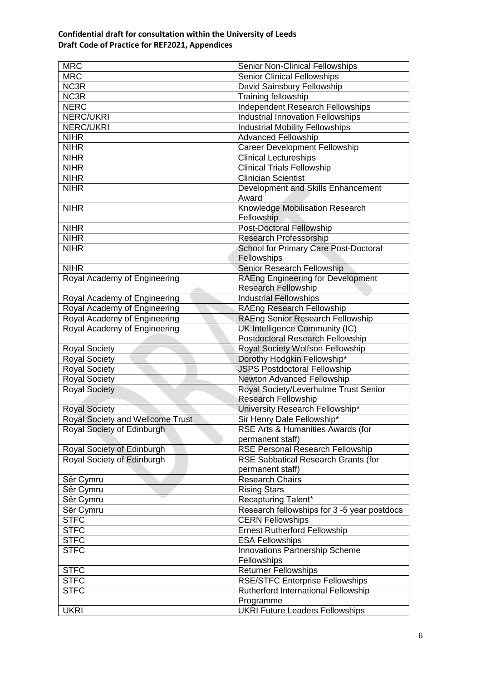| <b>MRC</b>                       | Senior Non-Clinical Fellowships             |
|----------------------------------|---------------------------------------------|
| <b>MRC</b>                       | <b>Senior Clinical Fellowships</b>          |
| NC3R                             | David Sainsbury Fellowship                  |
| NC3R                             | Training fellowship                         |
| <b>NERC</b>                      | <b>Independent Research Fellowships</b>     |
| <b>NERC/UKRI</b>                 | <b>Industrial Innovation Fellowships</b>    |
| <b>NERC/UKRI</b>                 | <b>Industrial Mobility Fellowships</b>      |
| <b>NIHR</b>                      | <b>Advanced Fellowship</b>                  |
| <b>NIHR</b>                      | <b>Career Development Fellowship</b>        |
| <b>NIHR</b>                      | <b>Clinical Lectureships</b>                |
| <b>NIHR</b>                      | <b>Clinical Trials Fellowship</b>           |
| <b>NIHR</b>                      | <b>Clinician Scientist</b>                  |
| <b>NIHR</b>                      | Development and Skills Enhancement          |
|                                  | Award                                       |
| <b>NIHR</b>                      | Knowledge Mobilisation Research             |
|                                  | Fellowship                                  |
| <b>NIHR</b>                      | <b>Post-Doctoral Fellowship</b>             |
| <b>NIHR</b>                      | Research Professorship                      |
| <b>NIHR</b>                      | School for Primary Care Post-Doctoral       |
|                                  | Fellowships                                 |
| <b>NIHR</b>                      | Senior Research Fellowship                  |
| Royal Academy of Engineering     | <b>RAEng Engineering for Development</b>    |
|                                  | <b>Research Fellowship</b>                  |
| Royal Academy of Engineering     | <b>Industrial Fellowships</b>               |
| Royal Academy of Engineering     | <b>RAEng Research Fellowship</b>            |
| Royal Academy of Engineering     | RAEng Senior Research Fellowship            |
| Royal Academy of Engineering     | UK Intelligence Community (IC)              |
|                                  | Postdoctoral Research Fellowship            |
| <b>Royal Society</b>             | Royal Society Wolfson Fellowship            |
| <b>Royal Society</b>             | Dorothy Hodgkin Fellowship*                 |
| <b>Royal Society</b>             | <b>JSPS Postdoctoral Fellowship</b>         |
| <b>Royal Society</b>             | <b>Newton Advanced Fellowship</b>           |
| <b>Royal Society</b>             | Royal Society/Leverhulme Trust Senior       |
|                                  | <b>Research Fellowship</b>                  |
| <b>Royal Society</b>             | University Research Fellowship*             |
| Royal Society and Wellcome Trust | Sir Henry Dale Fellowship*                  |
| Royal Society of Edinburgh       | RSE Arts & Humanities Awards (for           |
|                                  | permanent staff)                            |
| Royal Society of Edinburgh       | <b>RSE Personal Research Fellowship</b>     |
| Royal Society of Edinburgh       | RSE Sabbatical Research Grants (for         |
|                                  | permanent staff)                            |
| Sêr Cymru                        | <b>Research Chairs</b>                      |
| Sêr Cymru                        | <b>Rising Stars</b>                         |
| Sêr Cymru                        | Recapturing Talent*                         |
| Sêr Cymru                        | Research fellowships for 3 -5 year postdocs |
| <b>STFC</b>                      | <b>CERN Fellowships</b>                     |
| <b>STFC</b>                      | <b>Ernest Rutherford Fellowship</b>         |
| <b>STFC</b>                      | <b>ESA Fellowships</b>                      |
| <b>STFC</b>                      |                                             |
|                                  | Innovations Partnership Scheme              |
|                                  | Fellowships                                 |
| <b>STFC</b>                      | <b>Returner Fellowships</b>                 |
| <b>STFC</b>                      | <b>RSE/STFC Enterprise Fellowships</b>      |
| <b>STFC</b>                      | Rutherford International Fellowship         |
|                                  | Programme                                   |
| <b>UKRI</b>                      | <b>UKRI Future Leaders Fellowships</b>      |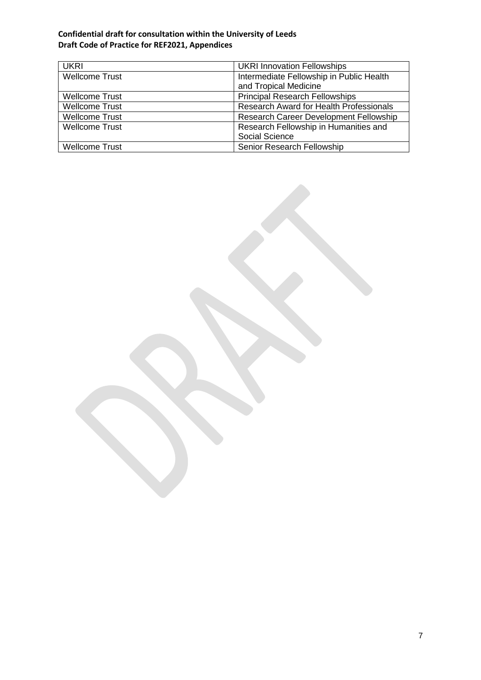| <b>UKRI</b>           | <b>UKRI Innovation Fellowships</b>             |  |
|-----------------------|------------------------------------------------|--|
| <b>Wellcome Trust</b> | Intermediate Fellowship in Public Health       |  |
|                       | and Tropical Medicine                          |  |
| <b>Wellcome Trust</b> | <b>Principal Research Fellowships</b>          |  |
| <b>Wellcome Trust</b> | <b>Research Award for Health Professionals</b> |  |
| <b>Wellcome Trust</b> | <b>Research Career Development Fellowship</b>  |  |
| <b>Wellcome Trust</b> | Research Fellowship in Humanities and          |  |
|                       | Social Science                                 |  |
| <b>Wellcome Trust</b> | Senior Research Fellowship                     |  |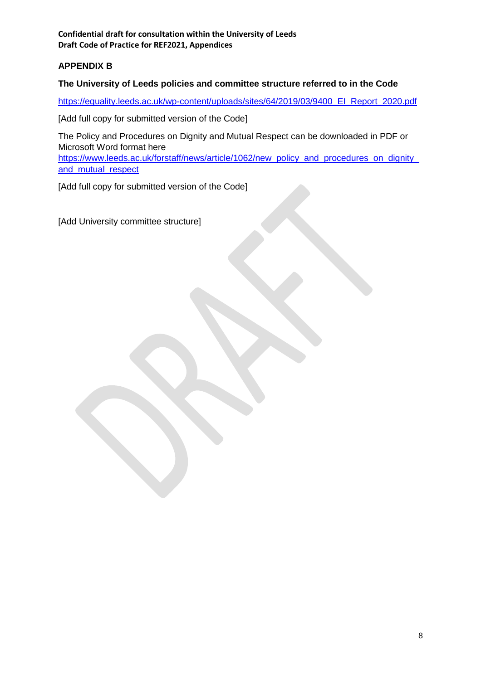# **APPENDIX B**

## **The University of Leeds policies and committee structure referred to in the Code**

https://equality.leeds.ac.uk/wp-content/uploads/sites/64/2019/03/9400\_EI\_Report\_2020.pdf

[Add full copy for submitted version of the Code]

The Policy and Procedures on Dignity and Mutual Respect can be downloaded in PDF or Microsoft Word format here https://www.leeds.ac.uk/forstaff/news/article/1062/new\_policy\_and\_procedures\_on\_dignity

and\_mutual\_respect

[Add full copy for submitted version of the Code]

[Add University committee structure]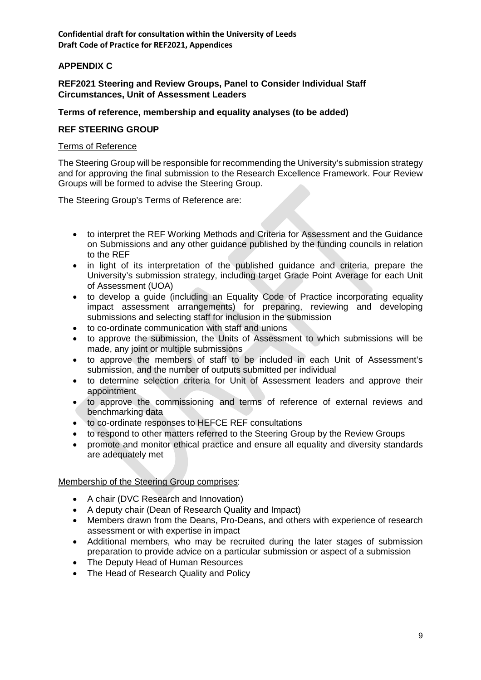## **APPENDIX C**

## **REF2021 Steering and Review Groups, Panel to Consider Individual Staff Circumstances, Unit of Assessment Leaders**

## **Terms of reference, membership and equality analyses (to be added)**

#### **REF STEERING GROUP**

#### Terms of Reference

The Steering Group will be responsible for recommending the University's submission strategy and for approving the final submission to the Research Excellence Framework. Four Review Groups will be formed to advise the Steering Group.

The Steering Group's Terms of Reference are:

- to interpret the REF Working Methods and Criteria for Assessment and the Guidance on Submissions and any other guidance published by the funding councils in relation to the REF
- in light of its interpretation of the published guidance and criteria, prepare the University's submission strategy, including target Grade Point Average for each Unit of Assessment (UOA)
- to develop a guide (including an Equality Code of Practice incorporating equality impact assessment arrangements) for preparing, reviewing and developing submissions and selecting staff for inclusion in the submission
- to co-ordinate communication with staff and unions
- to approve the submission, the Units of Assessment to which submissions will be made, any joint or multiple submissions
- to approve the members of staff to be included in each Unit of Assessment's submission, and the number of outputs submitted per individual
- to determine selection criteria for Unit of Assessment leaders and approve their appointment
- to approve the commissioning and terms of reference of external reviews and benchmarking data
- to co-ordinate responses to HEFCE REF consultations
- to respond to other matters referred to the Steering Group by the Review Groups
- promote and monitor ethical practice and ensure all equality and diversity standards are adequately met

## Membership of the Steering Group comprises:

- A chair (DVC Research and Innovation)
- A deputy chair (Dean of Research Quality and Impact)
- Members drawn from the Deans, Pro-Deans, and others with experience of research assessment or with expertise in impact
- Additional members, who may be recruited during the later stages of submission preparation to provide advice on a particular submission or aspect of a submission
- The Deputy Head of Human Resources
- The Head of Research Quality and Policy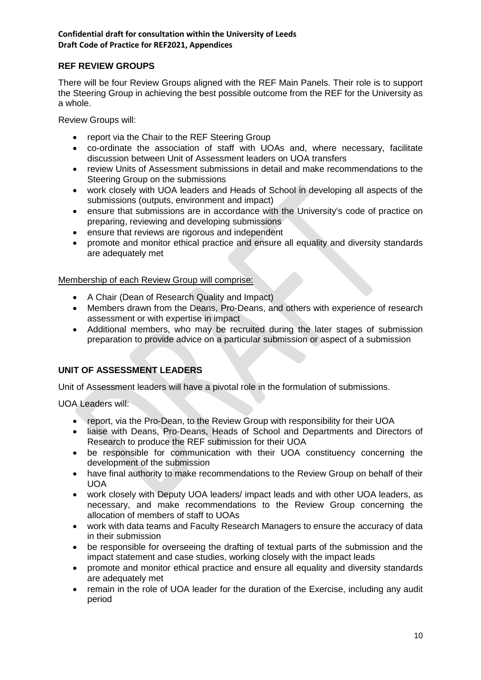# **REF REVIEW GROUPS**

There will be four Review Groups aligned with the REF Main Panels. Their role is to support the Steering Group in achieving the best possible outcome from the REF for the University as a whole.

Review Groups will:

- report via the Chair to the REF Steering Group
- co-ordinate the association of staff with UOAs and, where necessary, facilitate discussion between Unit of Assessment leaders on UOA transfers
- review Units of Assessment submissions in detail and make recommendations to the Steering Group on the submissions
- work closely with UOA leaders and Heads of School in developing all aspects of the submissions (outputs, environment and impact)
- ensure that submissions are in accordance with the University's code of practice on preparing, reviewing and developing submissions
- ensure that reviews are rigorous and independent
- promote and monitor ethical practice and ensure all equality and diversity standards are adequately met

## Membership of each Review Group will comprise:

- A Chair (Dean of Research Quality and Impact)
- Members drawn from the Deans, Pro-Deans, and others with experience of research assessment or with expertise in impact
- Additional members, who may be recruited during the later stages of submission preparation to provide advice on a particular submission or aspect of a submission

# **UNIT OF ASSESSMENT LEADERS**

Unit of Assessment leaders will have a pivotal role in the formulation of submissions.

UOA Leaders will:

- report, via the Pro-Dean, to the Review Group with responsibility for their UOA
- liaise with Deans, Pro-Deans, Heads of School and Departments and Directors of Research to produce the REF submission for their UOA
- be responsible for communication with their UOA constituency concerning the development of the submission
- have final authority to make recommendations to the Review Group on behalf of their UOA
- work closely with Deputy UOA leaders/ impact leads and with other UOA leaders, as necessary, and make recommendations to the Review Group concerning the allocation of members of staff to UOAs
- work with data teams and Faculty Research Managers to ensure the accuracy of data in their submission
- be responsible for overseeing the drafting of textual parts of the submission and the impact statement and case studies, working closely with the impact leads
- promote and monitor ethical practice and ensure all equality and diversity standards are adequately met
- remain in the role of UOA leader for the duration of the Exercise, including any audit period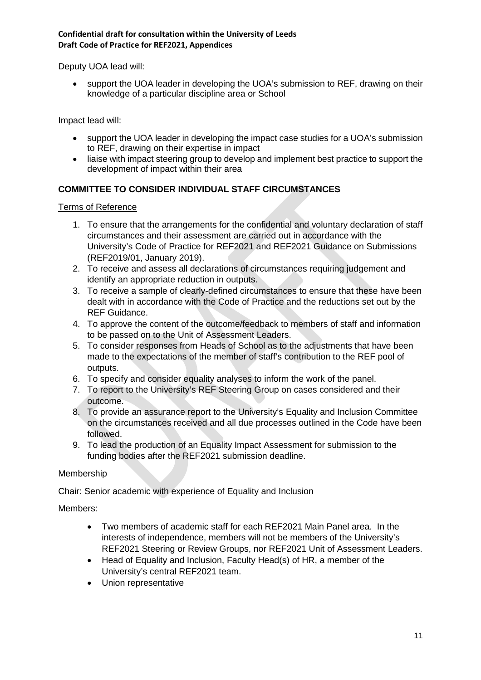Deputy UOA lead will:

 support the UOA leader in developing the UOA's submission to REF, drawing on their knowledge of a particular discipline area or School

Impact lead will:

- support the UOA leader in developing the impact case studies for a UOA's submission to REF, drawing on their expertise in impact
- liaise with impact steering group to develop and implement best practice to support the development of impact within their area

# **COMMITTEE TO CONSIDER INDIVIDUAL STAFF CIRCUMSTANCES**

Terms of Reference

- 1. To ensure that the arrangements for the confidential and voluntary declaration of staff circumstances and their assessment are carried out in accordance with the University's Code of Practice for REF2021 and REF2021 Guidance on Submissions (REF2019/01, January 2019).
- 2. To receive and assess all declarations of circumstances requiring judgement and identify an appropriate reduction in outputs.
- 3. To receive a sample of clearly-defined circumstances to ensure that these have been dealt with in accordance with the Code of Practice and the reductions set out by the REF Guidance.
- 4. To approve the content of the outcome/feedback to members of staff and information to be passed on to the Unit of Assessment Leaders.
- 5. To consider responses from Heads of School as to the adjustments that have been made to the expectations of the member of staff's contribution to the REF pool of outputs.
- 6. To specify and consider equality analyses to inform the work of the panel.
- 7. To report to the University's REF Steering Group on cases considered and their outcome.
- 8. To provide an assurance report to the University's Equality and Inclusion Committee on the circumstances received and all due processes outlined in the Code have been followed.
- 9. To lead the production of an Equality Impact Assessment for submission to the funding bodies after the REF2021 submission deadline.

## Membership

Chair: Senior academic with experience of Equality and Inclusion

Members:

- Two members of academic staff for each REF2021 Main Panel area. In the interests of independence, members will not be members of the University's REF2021 Steering or Review Groups, nor REF2021 Unit of Assessment Leaders.
- Head of Equality and Inclusion, Faculty Head(s) of HR, a member of the University's central REF2021 team.
- Union representative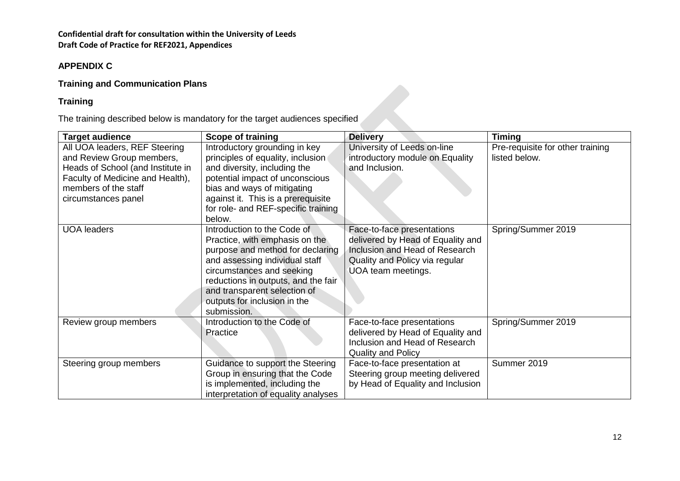# **APPENDIX C**

# **Training and Communication Plans**

# **Training**

The training described below is mandatory for the target audiences specified

| <b>Target audience</b>                                                                                                                                                             | <b>Scope of training</b>                                                                                                                                                                                                                                                               | <b>Delivery</b>                                                                                                                                           | <b>Timing</b>                                     |
|------------------------------------------------------------------------------------------------------------------------------------------------------------------------------------|----------------------------------------------------------------------------------------------------------------------------------------------------------------------------------------------------------------------------------------------------------------------------------------|-----------------------------------------------------------------------------------------------------------------------------------------------------------|---------------------------------------------------|
| All UOA leaders, REF Steering<br>and Review Group members,<br>Heads of School (and Institute in<br>Faculty of Medicine and Health),<br>members of the staff<br>circumstances panel | Introductory grounding in key<br>principles of equality, inclusion<br>and diversity, including the<br>potential impact of unconscious<br>bias and ways of mitigating<br>against it. This is a prerequisite<br>for role- and REF-specific training<br>below.                            | University of Leeds on-line<br>introductory module on Equality<br>and Inclusion.                                                                          | Pre-requisite for other training<br>listed below. |
| <b>UOA leaders</b>                                                                                                                                                                 | Introduction to the Code of<br>Practice, with emphasis on the<br>purpose and method for declaring<br>and assessing individual staff<br>circumstances and seeking<br>reductions in outputs, and the fair<br>and transparent selection of<br>outputs for inclusion in the<br>submission. | Face-to-face presentations<br>delivered by Head of Equality and<br>Inclusion and Head of Research<br>Quality and Policy via regular<br>UOA team meetings. | Spring/Summer 2019                                |
| Review group members                                                                                                                                                               | Introduction to the Code of<br>Practice                                                                                                                                                                                                                                                | Face-to-face presentations<br>delivered by Head of Equality and<br>Inclusion and Head of Research<br><b>Quality and Policy</b>                            | Spring/Summer 2019                                |
| Steering group members                                                                                                                                                             | Guidance to support the Steering<br>Group in ensuring that the Code<br>is implemented, including the<br>interpretation of equality analyses                                                                                                                                            | Face-to-face presentation at<br>Steering group meeting delivered<br>by Head of Equality and Inclusion                                                     | Summer 2019                                       |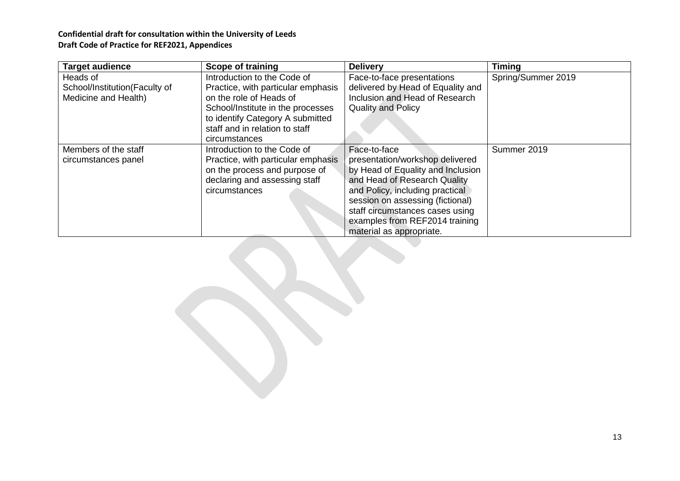| <b>Target audience</b>        | <b>Scope of training</b>           | <b>Delivery</b>                   | <b>Timing</b>      |
|-------------------------------|------------------------------------|-----------------------------------|--------------------|
| Heads of                      | Introduction to the Code of        | Face-to-face presentations        | Spring/Summer 2019 |
| School/Institution(Faculty of | Practice, with particular emphasis | delivered by Head of Equality and |                    |
| Medicine and Health)          | on the role of Heads of            | Inclusion and Head of Research    |                    |
|                               | School/Institute in the processes  | <b>Quality and Policy</b>         |                    |
|                               | to identify Category A submitted   |                                   |                    |
|                               | staff and in relation to staff     |                                   |                    |
|                               | circumstances                      |                                   |                    |
| Members of the staff          | Introduction to the Code of        | Face-to-face                      | Summer 2019        |
| circumstances panel           | Practice, with particular emphasis | presentation/workshop delivered   |                    |
|                               | on the process and purpose of      | by Head of Equality and Inclusion |                    |
|                               | declaring and assessing staff      | and Head of Research Quality      |                    |
|                               | circumstances                      | and Policy, including practical   |                    |
|                               |                                    | session on assessing (fictional)  |                    |
|                               |                                    | staff circumstances cases using   |                    |
|                               |                                    | examples from REF2014 training    |                    |
|                               |                                    | material as appropriate.          |                    |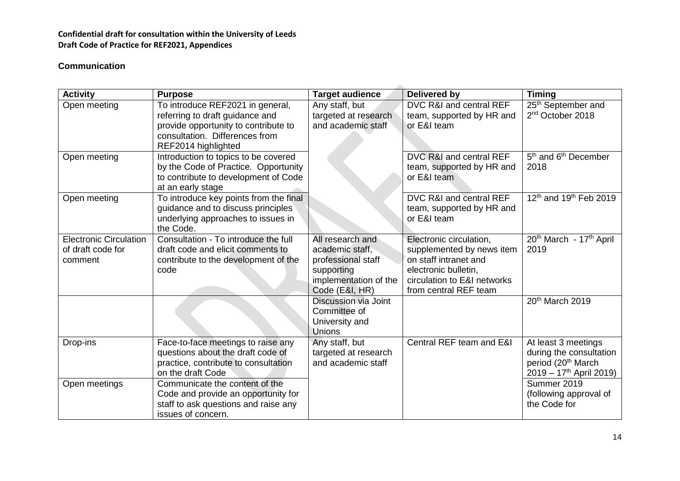# **Communication**

| <b>Activity</b>                                               | <b>Purpose</b>                                                                                                                                                       | <b>Target audience</b>                                                                                             | <b>Delivered by</b>                                                                                                                                           | <b>Timing</b>                                                                                                             |
|---------------------------------------------------------------|----------------------------------------------------------------------------------------------------------------------------------------------------------------------|--------------------------------------------------------------------------------------------------------------------|---------------------------------------------------------------------------------------------------------------------------------------------------------------|---------------------------------------------------------------------------------------------------------------------------|
| Open meeting                                                  | To introduce REF2021 in general,<br>referring to draft guidance and<br>provide opportunity to contribute to<br>consultation. Differences from<br>REF2014 highlighted | Any staff, but<br>targeted at research<br>and academic staff                                                       | DVC R&I and central REF<br>team, supported by HR and<br>or E&I team                                                                                           | 25 <sup>th</sup> September and<br>2 <sup>nd</sup> October 2018                                                            |
| Open meeting                                                  | Introduction to topics to be covered<br>by the Code of Practice. Opportunity<br>to contribute to development of Code<br>at an early stage                            |                                                                                                                    | DVC R&I and central REF<br>team, supported by HR and<br>or E&I team                                                                                           | 5 <sup>th</sup> and 6 <sup>th</sup> December<br>2018                                                                      |
| Open meeting                                                  | To introduce key points from the final<br>guidance and to discuss principles<br>underlying approaches to issues in<br>the Code.                                      |                                                                                                                    | DVC R&I and central REF<br>team, supported by HR and<br>or E&I team                                                                                           | 12 <sup>th</sup> and 19 <sup>th</sup> Feb 2019                                                                            |
| <b>Electronic Circulation</b><br>of draft code for<br>comment | Consultation - To introduce the full<br>draft code and elicit comments to<br>contribute to the development of the<br>code                                            | All research and<br>academic staff,<br>professional staff<br>supporting<br>implementation of the<br>Code (E&I, HR) | Electronic circulation,<br>supplemented by news item<br>on staff intranet and<br>electronic bulletin,<br>circulation to E&I networks<br>from central REF team | 20 <sup>th</sup> March - 17 <sup>th</sup> April<br>2019                                                                   |
|                                                               |                                                                                                                                                                      | <b>Discussion via Joint</b><br>Committee of<br>University and<br><b>Unions</b>                                     |                                                                                                                                                               | 20 <sup>th</sup> March 2019                                                                                               |
| Drop-ins                                                      | Face-to-face meetings to raise any<br>questions about the draft code of<br>practice, contribute to consultation<br>on the draft Code                                 | Any staff, but<br>targeted at research<br>and academic staff                                                       | Central REF team and E&I                                                                                                                                      | At least 3 meetings<br>during the consultation<br>period (20 <sup>th</sup> March<br>$2019 - 17$ <sup>th</sup> April 2019) |
| Open meetings                                                 | Communicate the content of the<br>Code and provide an opportunity for<br>staff to ask questions and raise any<br>issues of concern.                                  |                                                                                                                    |                                                                                                                                                               | Summer 2019<br>(following approval of<br>the Code for                                                                     |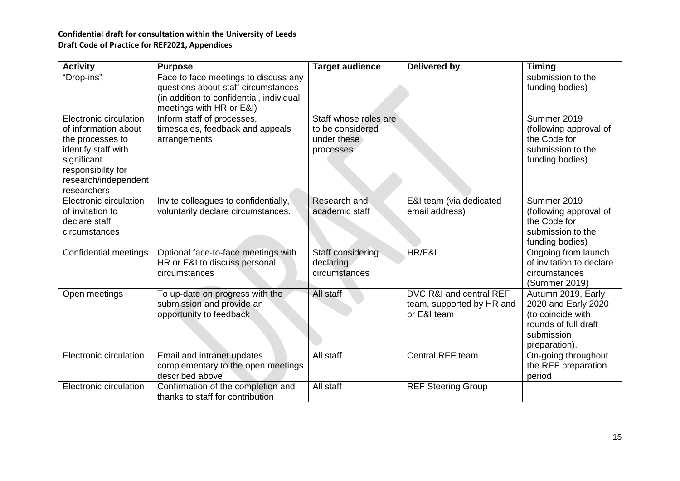| <b>Activity</b>                                                                                                                                                       | <b>Purpose</b>                                                                                                                                      | <b>Target audience</b>                                                | <b>Delivered by</b>                                                 | <b>Timing</b>                                                                                                         |
|-----------------------------------------------------------------------------------------------------------------------------------------------------------------------|-----------------------------------------------------------------------------------------------------------------------------------------------------|-----------------------------------------------------------------------|---------------------------------------------------------------------|-----------------------------------------------------------------------------------------------------------------------|
| "Drop-ins"                                                                                                                                                            | Face to face meetings to discuss any<br>questions about staff circumstances<br>(in addition to confidential, individual<br>meetings with HR or E&I) |                                                                       |                                                                     | submission to the<br>funding bodies)                                                                                  |
| Electronic circulation<br>of information about<br>the processes to<br>identify staff with<br>significant<br>responsibility for<br>research/independent<br>researchers | Inform staff of processes,<br>timescales, feedback and appeals<br>arrangements                                                                      | Staff whose roles are<br>to be considered<br>under these<br>processes |                                                                     | Summer 2019<br>(following approval of<br>the Code for<br>submission to the<br>funding bodies)                         |
| Electronic circulation<br>of invitation to<br>declare staff<br>circumstances                                                                                          | Invite colleagues to confidentially,<br>voluntarily declare circumstances.                                                                          | Research and<br>academic staff                                        | E&I team (via dedicated<br>email address)                           | Summer 2019<br>(following approval of<br>the Code for<br>submission to the<br>funding bodies)                         |
| Confidential meetings                                                                                                                                                 | Optional face-to-face meetings with<br>HR or E&I to discuss personal<br>circumstances                                                               | Staff considering<br>declaring<br>circumstances                       | HR/E&I                                                              | Ongoing from launch<br>of invitation to declare<br>circumstances<br>(Summer 2019)                                     |
| Open meetings                                                                                                                                                         | To up-date on progress with the<br>submission and provide an<br>opportunity to feedback                                                             | All staff                                                             | DVC R&I and central REF<br>team, supported by HR and<br>or E&I team | Autumn 2019, Early<br>2020 and Early 2020<br>(to coincide with<br>rounds of full draft<br>submission<br>preparation). |
| Electronic circulation                                                                                                                                                | Email and intranet updates<br>complementary to the open meetings<br>described above                                                                 | All staff                                                             | Central REF team                                                    | On-going throughout<br>the REF preparation<br>period                                                                  |
| Electronic circulation                                                                                                                                                | Confirmation of the completion and<br>thanks to staff for contribution                                                                              | All staff                                                             | <b>REF Steering Group</b>                                           |                                                                                                                       |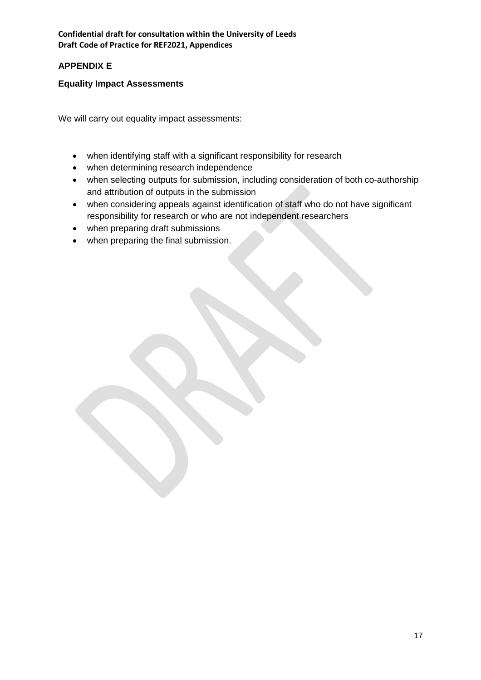# **APPENDIX E**

## **Equality Impact Assessments**

We will carry out equality impact assessments:

- when identifying staff with a significant responsibility for research
- when determining research independence
- when selecting outputs for submission, including consideration of both co-authorship and attribution of outputs in the submission
- when considering appeals against identification of staff who do not have significant responsibility for research or who are not independent researchers
- when preparing draft submissions
- when preparing the final submission.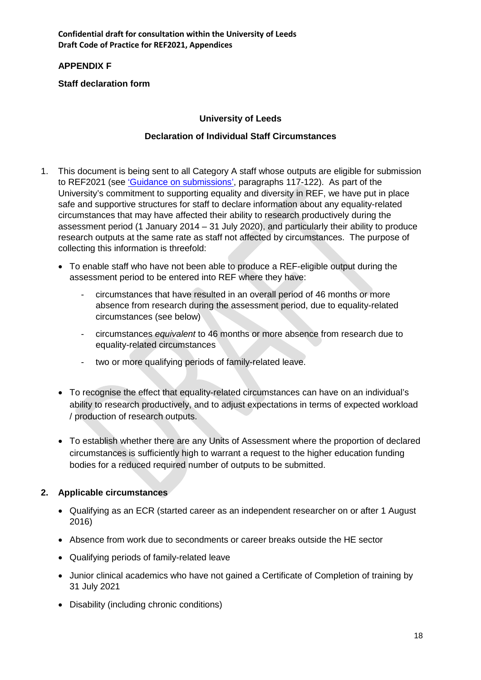# **APPENDIX F**

# **Staff declaration form**

## **University of Leeds**

## **Declaration of Individual Staff Circumstances**

- 1. This document is being sent to all Category A staff whose outputs are eligible for submission to REF2021 (see 'Guidance on submissions', paragraphs 117-122). As part of the University's commitment to supporting equality and diversity in REF, we have put in place safe and supportive structures for staff to declare information about any equality-related circumstances that may have affected their ability to research productively during the assessment period (1 January 2014 – 31 July 2020), and particularly their ability to produce research outputs at the same rate as staff not affected by circumstances. The purpose of collecting this information is threefold:
	- To enable staff who have not been able to produce a REF-eligible output during the assessment period to be entered into REF where they have:
		- circumstances that have resulted in an overall period of 46 months or more absence from research during the assessment period, due to equality-related circumstances (see below)
		- circumstances *equivalent* to 46 months or more absence from research due to equality-related circumstances
		- two or more qualifying periods of family-related leave.
	- To recognise the effect that equality-related circumstances can have on an individual's ability to research productively, and to adjust expectations in terms of expected workload / production of research outputs.
	- To establish whether there are any Units of Assessment where the proportion of declared circumstances is sufficiently high to warrant a request to the higher education funding bodies for a reduced required number of outputs to be submitted.

# **2. Applicable circumstances**

- Qualifying as an ECR (started career as an independent researcher on or after 1 August 2016)
- Absence from work due to secondments or career breaks outside the HE sector
- Qualifying periods of family-related leave
- Junior clinical academics who have not gained a Certificate of Completion of training by 31 July 2021
- Disability (including chronic conditions)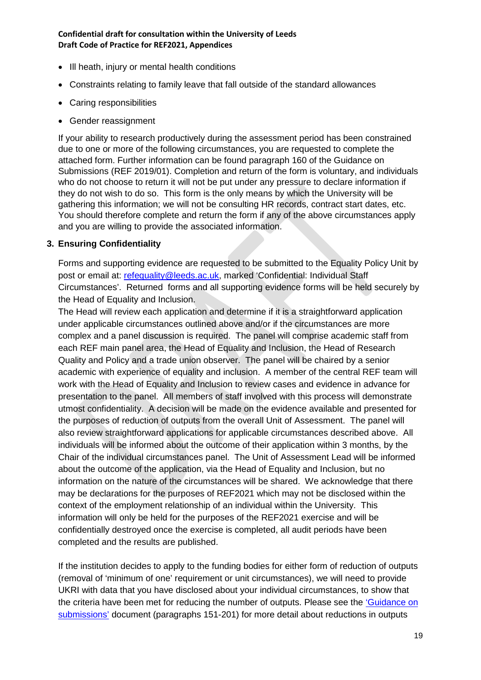- Ill heath, injury or mental health conditions
- Constraints relating to family leave that fall outside of the standard allowances
- Caring responsibilities
- Gender reassignment

If your ability to research productively during the assessment period has been constrained due to one or more of the following circumstances, you are requested to complete the attached form. Further information can be found paragraph 160 of the Guidance on Submissions (REF 2019/01). Completion and return of the form is voluntary, and individuals who do not choose to return it will not be put under any pressure to declare information if they do not wish to do so. This form is the only means by which the University will be gathering this information; we will not be consulting HR records, contract start dates, etc. You should therefore complete and return the form if any of the above circumstances apply and you are willing to provide the associated information.

#### **3. Ensuring Confidentiality**

Forms and supporting evidence are requested to be submitted to the Equality Policy Unit by post or email at: refequality@leeds.ac.uk, marked 'Confidential: Individual Staff Circumstances'. Returned forms and all supporting evidence forms will be held securely by the Head of Equality and Inclusion.

The Head will review each application and determine if it is a straightforward application under applicable circumstances outlined above and/or if the circumstances are more complex and a panel discussion is required. The panel will comprise academic staff from each REF main panel area, the Head of Equality and Inclusion, the Head of Research Quality and Policy and a trade union observer. The panel will be chaired by a senior academic with experience of equality and inclusion. A member of the central REF team will work with the Head of Equality and Inclusion to review cases and evidence in advance for presentation to the panel. All members of staff involved with this process will demonstrate utmost confidentiality. A decision will be made on the evidence available and presented for the purposes of reduction of outputs from the overall Unit of Assessment. The panel will also review straightforward applications for applicable circumstances described above. All individuals will be informed about the outcome of their application within 3 months, by the Chair of the individual circumstances panel. The Unit of Assessment Lead will be informed about the outcome of the application, via the Head of Equality and Inclusion, but no information on the nature of the circumstances will be shared. We acknowledge that there may be declarations for the purposes of REF2021 which may not be disclosed within the context of the employment relationship of an individual within the University. This information will only be held for the purposes of the REF2021 exercise and will be confidentially destroyed once the exercise is completed, all audit periods have been completed and the results are published.

If the institution decides to apply to the funding bodies for either form of reduction of outputs (removal of 'minimum of one' requirement or unit circumstances), we will need to provide UKRI with data that you have disclosed about your individual circumstances, to show that the criteria have been met for reducing the number of outputs. Please see the 'Guidance on submissions' document (paragraphs 151-201) for more detail about reductions in outputs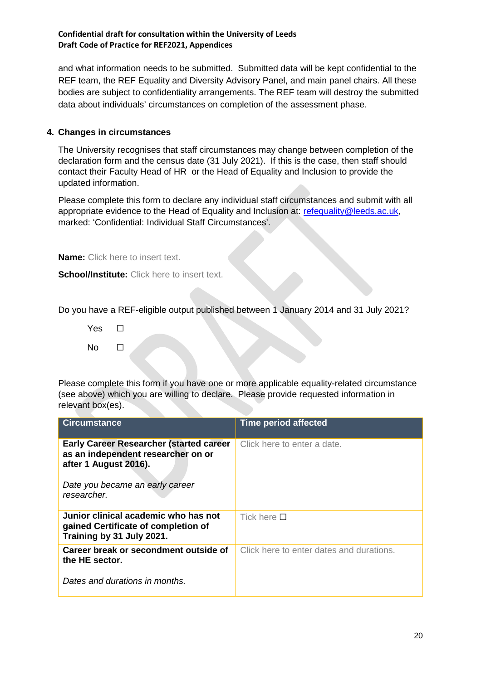and what information needs to be submitted. Submitted data will be kept confidential to the REF team, the REF Equality and Diversity Advisory Panel, and main panel chairs. All these bodies are subject to confidentiality arrangements. The REF team will destroy the submitted data about individuals' circumstances on completion of the assessment phase.

#### **4. Changes in circumstances**

The University recognises that staff circumstances may change between completion of the declaration form and the census date (31 July 2021). If this is the case, then staff should contact their Faculty Head of HR or the Head of Equality and Inclusion to provide the updated information.

Please complete this form to declare any individual staff circumstances and submit with all appropriate evidence to the Head of Equality and Inclusion at: refequality@leeds.ac.uk, marked: 'Confidential: Individual Staff Circumstances'.

**Name:** Click here to insert text.

**School/Institute:** Click here to insert text.

Do you have a REF-eligible output published between 1 January 2014 and 31 July 2021?

Yes □ No  $\Box$ 

Please complete this form if you have one or more applicable equality-related circumstance (see above) which you are willing to declare. Please provide requested information in relevant box(es).

| <b>Circumstance</b>                                                                                           | <b>Time period affected</b>              |
|---------------------------------------------------------------------------------------------------------------|------------------------------------------|
| <b>Early Career Researcher (started career</b><br>as an independent researcher on or<br>after 1 August 2016). | Click here to enter a date.              |
| Date you became an early career<br>researcher.                                                                |                                          |
| Junior clinical academic who has not<br>gained Certificate of completion of<br>Training by 31 July 2021.      | Tick here $\Pi$                          |
| Career break or secondment outside of<br>the HE sector.                                                       | Click here to enter dates and durations. |
| Dates and durations in months.                                                                                |                                          |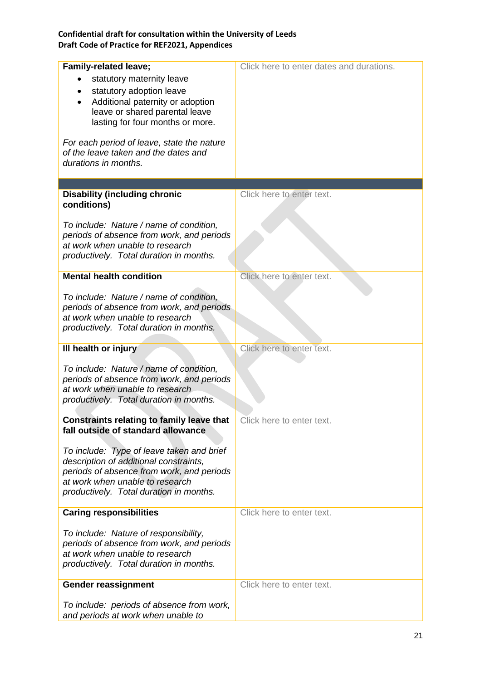| <b>Family-related leave;</b>                                                       | Click here to enter dates and durations. |
|------------------------------------------------------------------------------------|------------------------------------------|
| statutory maternity leave                                                          |                                          |
| statutory adoption leave                                                           |                                          |
| Additional paternity or adoption                                                   |                                          |
| leave or shared parental leave                                                     |                                          |
|                                                                                    |                                          |
| lasting for four months or more.                                                   |                                          |
|                                                                                    |                                          |
| For each period of leave, state the nature<br>of the leave taken and the dates and |                                          |
| durations in months.                                                               |                                          |
|                                                                                    |                                          |
|                                                                                    |                                          |
| <b>Disability (including chronic</b>                                               | Click here to enter text.                |
| conditions)                                                                        |                                          |
|                                                                                    |                                          |
| To include: Nature / name of condition,                                            |                                          |
| periods of absence from work, and periods                                          |                                          |
| at work when unable to research                                                    |                                          |
| productively. Total duration in months.                                            |                                          |
|                                                                                    |                                          |
| <b>Mental health condition</b>                                                     | Click here to enter text.                |
|                                                                                    |                                          |
| To include: Nature / name of condition,                                            |                                          |
| periods of absence from work, and periods                                          |                                          |
| at work when unable to research                                                    |                                          |
| productively. Total duration in months.                                            |                                          |
|                                                                                    |                                          |
| III health or injury                                                               | Click here to enter text.                |
|                                                                                    |                                          |
| To include: Nature / name of condition,                                            |                                          |
| periods of absence from work, and periods                                          |                                          |
| at work when unable to research                                                    |                                          |
| productively. Total duration in months.                                            |                                          |
|                                                                                    |                                          |
| Constraints relating to family leave that                                          | Click here to enter text.                |
| fall outside of standard allowance                                                 |                                          |
|                                                                                    |                                          |
| To include: Type of leave taken and brief                                          |                                          |
| description of additional constraints,                                             |                                          |
| periods of absence from work, and periods                                          |                                          |
| at work when unable to research                                                    |                                          |
| productively. Total duration in months.                                            |                                          |
|                                                                                    | Click here to enter text.                |
| <b>Caring responsibilities</b>                                                     |                                          |
| To include: Nature of responsibility,                                              |                                          |
| periods of absence from work, and periods                                          |                                          |
| at work when unable to research                                                    |                                          |
| productively. Total duration in months.                                            |                                          |
|                                                                                    |                                          |
| <b>Gender reassignment</b>                                                         | Click here to enter text.                |
|                                                                                    |                                          |
| To include: periods of absence from work,                                          |                                          |
| and periods at work when unable to                                                 |                                          |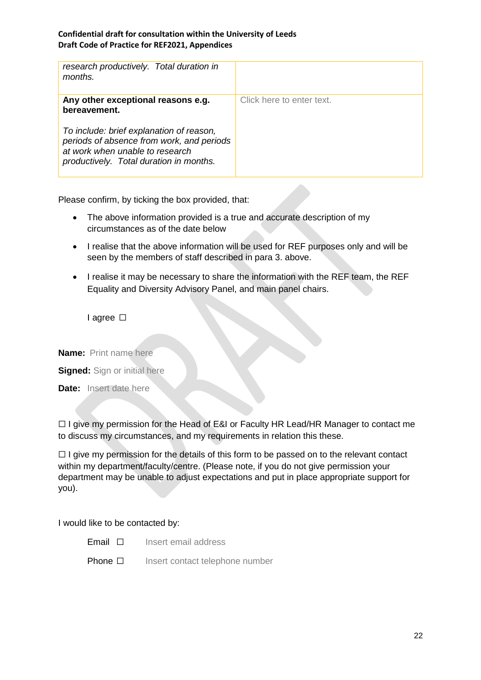| research productively. Total duration in<br>months.                                                                                                                 |                           |
|---------------------------------------------------------------------------------------------------------------------------------------------------------------------|---------------------------|
| Any other exceptional reasons e.g.<br>bereavement.                                                                                                                  | Click here to enter text. |
| To include: brief explanation of reason,<br>periods of absence from work, and periods<br>at work when unable to research<br>productively. Total duration in months. |                           |

Please confirm, by ticking the box provided, that:

- The above information provided is a true and accurate description of my circumstances as of the date below
- I realise that the above information will be used for REF purposes only and will be seen by the members of staff described in para 3. above.
- I realise it may be necessary to share the information with the REF team, the REF Equality and Diversity Advisory Panel, and main panel chairs.

I agree □

**Name:** Print name here

**Signed:** Sign or initial here

**Date:** Insert date here

□ I give my permission for the Head of E&I or Faculty HR Lead/HR Manager to contact me to discuss my circumstances, and my requirements in relation this these.

□ I give my permission for the details of this form to be passed on to the relevant contact within my department/faculty/centre. (Please note, if you do not give permission your department may be unable to adjust expectations and put in place appropriate support for you).

I would like to be contacted by:

- Email ☐ Insert email address
- Phone □ Insert contact telephone number